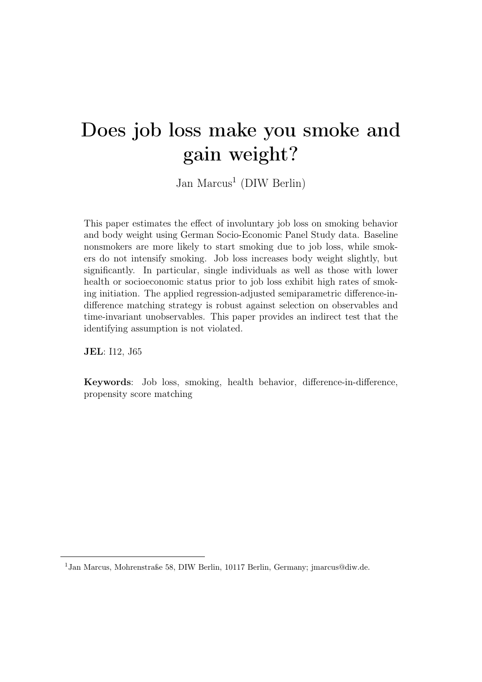# Does job loss make you smoke and gain weight?

Jan Marcus<sup>[1](#page-0-0)</sup> (DIW Berlin)

This paper estimates the effect of involuntary job loss on smoking behavior and body weight using German Socio-Economic Panel Study data. Baseline nonsmokers are more likely to start smoking due to job loss, while smokers do not intensify smoking. Job loss increases body weight slightly, but significantly. In particular, single individuals as well as those with lower health or socioeconomic status prior to job loss exhibit high rates of smoking initiation. The applied regression-adjusted semiparametric difference-indifference matching strategy is robust against selection on observables and time-invariant unobservables. This paper provides an indirect test that the identifying assumption is not violated.

JEL: I12, J65

Keywords: Job loss, smoking, health behavior, difference-in-difference, propensity score matching

<span id="page-0-0"></span><sup>1</sup>Jan Marcus, Mohrenstraße 58, DIW Berlin, 10117 Berlin, Germany; jmarcus@diw.de.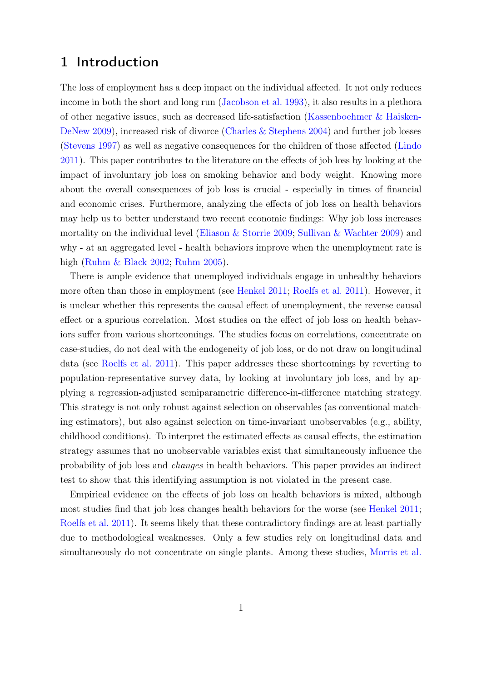## 1 Introduction

The loss of employment has a deep impact on the individual affected. It not only reduces income in both the short and long run [\(Jacobson et al.](#page-31-0) [1993\)](#page-31-0), it also results in a plethora of other negative issues, such as decreased life-satisfaction [\(Kassenboehmer & Haisken-](#page-31-1)[DeNew](#page-31-1) [2009\)](#page-31-1), increased risk of divorce [\(Charles & Stephens](#page-30-0) [2004\)](#page-30-0) and further job losses [\(Stevens](#page-33-0) [1997\)](#page-33-0) as well as negative consequences for the children of those affected [\(Lindo](#page-32-0) [2011\)](#page-32-0). This paper contributes to the literature on the effects of job loss by looking at the impact of involuntary job loss on smoking behavior and body weight. Knowing more about the overall consequences of job loss is crucial - especially in times of financial and economic crises. Furthermore, analyzing the effects of job loss on health behaviors may help us to better understand two recent economic findings: Why job loss increases mortality on the individual level [\(Eliason & Storrie](#page-31-2) [2009;](#page-31-2) [Sullivan & Wachter](#page-33-1) [2009\)](#page-33-1) and why - at an aggregated level - health behaviors improve when the unemployment rate is high [\(Ruhm & Black](#page-33-2) [2002;](#page-33-2) [Ruhm](#page-32-1) [2005\)](#page-32-1).

There is ample evidence that unemployed individuals engage in unhealthy behaviors more often than those in employment (see [Henkel](#page-31-3) [2011;](#page-31-3) [Roelfs et al.](#page-32-2) [2011\)](#page-32-2). However, it is unclear whether this represents the causal effect of unemployment, the reverse causal effect or a spurious correlation. Most studies on the effect of job loss on health behaviors suffer from various shortcomings. The studies focus on correlations, concentrate on case-studies, do not deal with the endogeneity of job loss, or do not draw on longitudinal data (see [Roelfs et al.](#page-32-2) [2011\)](#page-32-2). This paper addresses these shortcomings by reverting to population-representative survey data, by looking at involuntary job loss, and by applying a regression-adjusted semiparametric difference-in-difference matching strategy. This strategy is not only robust against selection on observables (as conventional matching estimators), but also against selection on time-invariant unobservables (e.g., ability, childhood conditions). To interpret the estimated effects as causal effects, the estimation strategy assumes that no unobservable variables exist that simultaneously influence the probability of job loss and changes in health behaviors. This paper provides an indirect test to show that this identifying assumption is not violated in the present case.

Empirical evidence on the effects of job loss on health behaviors is mixed, although most studies find that job loss changes health behaviors for the worse (see [Henkel](#page-31-3) [2011;](#page-31-3) [Roelfs et al.](#page-32-2) [2011\)](#page-32-2). It seems likely that these contradictory findings are at least partially due to methodological weaknesses. Only a few studies rely on longitudinal data and simultaneously do not concentrate on single plants. Among these studies, [Morris et al.](#page-32-3)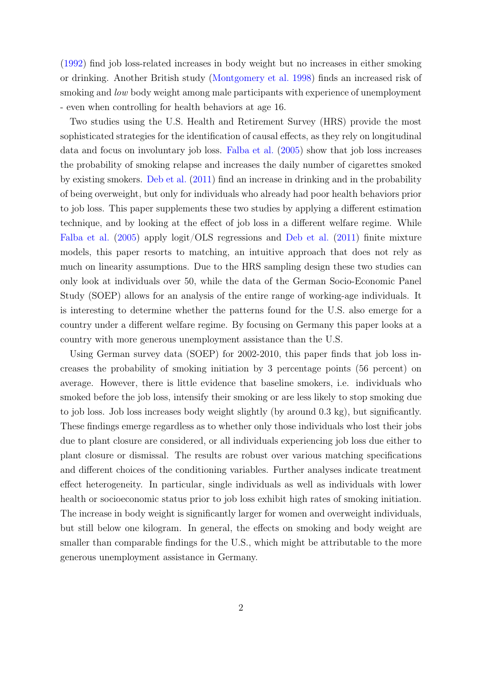[\(1992\)](#page-32-3) find job loss-related increases in body weight but no increases in either smoking or drinking. Another British study [\(Montgomery et al.](#page-32-4) [1998\)](#page-32-4) finds an increased risk of smoking and *low* body weight among male participants with experience of unemployment - even when controlling for health behaviors at age 16.

Two studies using the U.S. Health and Retirement Survey (HRS) provide the most sophisticated strategies for the identification of causal effects, as they rely on longitudinal data and focus on involuntary job loss. [Falba et al.](#page-31-4) [\(2005\)](#page-31-4) show that job loss increases the probability of smoking relapse and increases the daily number of cigarettes smoked by existing smokers. [Deb et al.](#page-31-5) [\(2011\)](#page-31-5) find an increase in drinking and in the probability of being overweight, but only for individuals who already had poor health behaviors prior to job loss. This paper supplements these two studies by applying a different estimation technique, and by looking at the effect of job loss in a different welfare regime. While [Falba et al.](#page-31-4) [\(2005\)](#page-31-4) apply logit/OLS regressions and [Deb et al.](#page-31-5) [\(2011\)](#page-31-5) finite mixture models, this paper resorts to matching, an intuitive approach that does not rely as much on linearity assumptions. Due to the HRS sampling design these two studies can only look at individuals over 50, while the data of the German Socio-Economic Panel Study (SOEP) allows for an analysis of the entire range of working-age individuals. It is interesting to determine whether the patterns found for the U.S. also emerge for a country under a different welfare regime. By focusing on Germany this paper looks at a country with more generous unemployment assistance than the U.S.

Using German survey data (SOEP) for 2002-2010, this paper finds that job loss increases the probability of smoking initiation by 3 percentage points (56 percent) on average. However, there is little evidence that baseline smokers, i.e. individuals who smoked before the job loss, intensify their smoking or are less likely to stop smoking due to job loss. Job loss increases body weight slightly (by around 0.3 kg), but significantly. These findings emerge regardless as to whether only those individuals who lost their jobs due to plant closure are considered, or all individuals experiencing job loss due either to plant closure or dismissal. The results are robust over various matching specifications and different choices of the conditioning variables. Further analyses indicate treatment effect heterogeneity. In particular, single individuals as well as individuals with lower health or socioeconomic status prior to job loss exhibit high rates of smoking initiation. The increase in body weight is significantly larger for women and overweight individuals, but still below one kilogram. In general, the effects on smoking and body weight are smaller than comparable findings for the U.S., which might be attributable to the more generous unemployment assistance in Germany.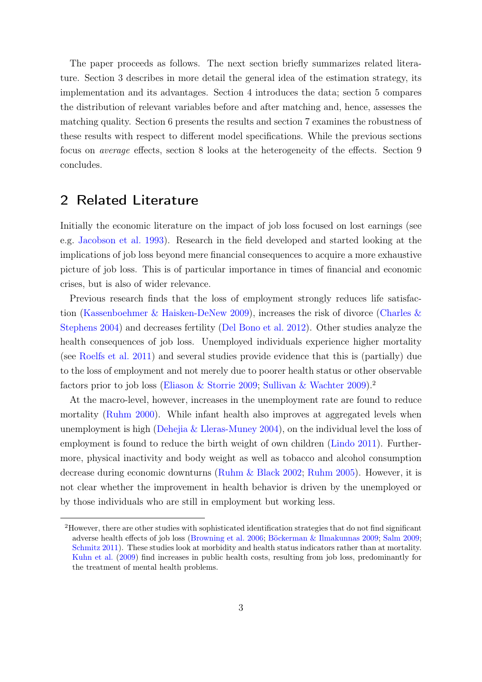The paper proceeds as follows. The next section briefly summarizes related literature. Section [3](#page-5-0) describes in more detail the general idea of the estimation strategy, its implementation and its advantages. Section [4](#page-9-0) introduces the data; section [5](#page-12-0) compares the distribution of relevant variables before and after matching and, hence, assesses the matching quality. Section [6](#page-15-0) presents the results and section [7](#page-19-0) examines the robustness of these results with respect to different model specifications. While the previous sections focus on average effects, section [8](#page-24-0) looks at the heterogeneity of the effects. Section [9](#page-28-0) concludes.

# 2 Related Literature

Initially the economic literature on the impact of job loss focused on lost earnings (see e.g. [Jacobson et al.](#page-31-0) [1993\)](#page-31-0). Research in the field developed and started looking at the implications of job loss beyond mere financial consequences to acquire a more exhaustive picture of job loss. This is of particular importance in times of financial and economic crises, but is also of wider relevance.

Previous research finds that the loss of employment strongly reduces life satisfaction [\(Kassenboehmer & Haisken-DeNew](#page-31-1) [2009\)](#page-31-1), increases the risk of divorce [\(Charles &](#page-30-0) [Stephens](#page-30-0) [2004\)](#page-30-0) and decreases fertility [\(Del Bono et al.](#page-31-6) [2012\)](#page-31-6). Other studies analyze the health consequences of job loss. Unemployed individuals experience higher mortality (see [Roelfs et al.](#page-32-2) [2011\)](#page-32-2) and several studies provide evidence that this is (partially) due to the loss of employment and not merely due to poorer health status or other observable factors prior to job loss [\(Eliason & Storrie](#page-31-2) [2009;](#page-31-2) [Sullivan & Wachter](#page-33-1) [2009\)](#page-33-1).[2](#page-3-0)

At the macro-level, however, increases in the unemployment rate are found to reduce mortality [\(Ruhm](#page-32-5) [2000\)](#page-32-5). While infant health also improves at aggregated levels when unemployment is high [\(Dehejia & Lleras-Muney](#page-31-7) [2004\)](#page-31-7), on the individual level the loss of employment is found to reduce the birth weight of own children [\(Lindo](#page-32-0) [2011\)](#page-32-0). Furthermore, physical inactivity and body weight as well as tobacco and alcohol consumption decrease during economic downturns [\(Ruhm & Black](#page-33-2) [2002;](#page-33-2) [Ruhm](#page-32-1) [2005\)](#page-32-1). However, it is not clear whether the improvement in health behavior is driven by the unemployed or by those individuals who are still in employment but working less.

<span id="page-3-0"></span><sup>2</sup>However, there are other studies with sophisticated identification strategies that do not find significant adverse health effects of job loss [\(Browning et al.](#page-30-1) [2006;](#page-30-1) [Böckerman & Ilmakunnas](#page-30-2) [2009;](#page-30-2) [Salm](#page-33-3) [2009;](#page-33-3) [Schmitz](#page-33-4) [2011\)](#page-33-4). These studies look at morbidity and health status indicators rather than at mortality. [Kuhn et al.](#page-32-6) [\(2009\)](#page-32-6) find increases in public health costs, resulting from job loss, predominantly for the treatment of mental health problems.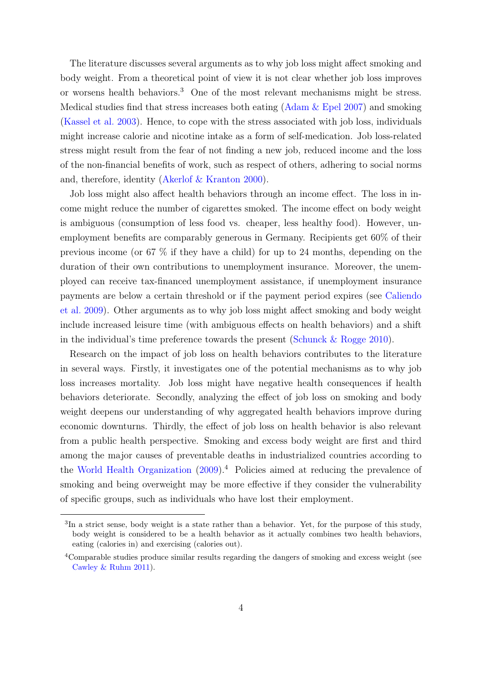The literature discusses several arguments as to why job loss might affect smoking and body weight. From a theoretical point of view it is not clear whether job loss improves or worsens health behaviors.[3](#page-4-0) One of the most relevant mechanisms might be stress. Medical studies find that stress increases both eating [\(Adam & Epel](#page-30-3) [2007\)](#page-30-3) and smoking [\(Kassel et al.](#page-31-8) [2003\)](#page-31-8). Hence, to cope with the stress associated with job loss, individuals might increase calorie and nicotine intake as a form of self-medication. Job loss-related stress might result from the fear of not finding a new job, reduced income and the loss of the non-financial benefits of work, such as respect of others, adhering to social norms and, therefore, identity [\(Akerlof & Kranton](#page-30-4) [2000\)](#page-30-4).

Job loss might also affect health behaviors through an income effect. The loss in income might reduce the number of cigarettes smoked. The income effect on body weight is ambiguous (consumption of less food vs. cheaper, less healthy food). However, unemployment benefits are comparably generous in Germany. Recipients get 60% of their previous income (or 67 % if they have a child) for up to 24 months, depending on the duration of their own contributions to unemployment insurance. Moreover, the unemployed can receive tax-financed unemployment assistance, if unemployment insurance payments are below a certain threshold or if the payment period expires (see [Caliendo](#page-30-5) [et al.](#page-30-5) [2009\)](#page-30-5). Other arguments as to why job loss might affect smoking and body weight include increased leisure time (with ambiguous effects on health behaviors) and a shift in the individual's time preference towards the present [\(Schunck & Rogge](#page-33-5) [2010\)](#page-33-5).

Research on the impact of job loss on health behaviors contributes to the literature in several ways. Firstly, it investigates one of the potential mechanisms as to why job loss increases mortality. Job loss might have negative health consequences if health behaviors deteriorate. Secondly, analyzing the effect of job loss on smoking and body weight deepens our understanding of why aggregated health behaviors improve during economic downturns. Thirdly, the effect of job loss on health behavior is also relevant from a public health perspective. Smoking and excess body weight are first and third among the major causes of preventable deaths in industrialized countries according to the [World Health Organization](#page-33-6) [\(2009\)](#page-33-6).[4](#page-4-1) Policies aimed at reducing the prevalence of smoking and being overweight may be more effective if they consider the vulnerability of specific groups, such as individuals who have lost their employment.

<span id="page-4-0"></span><sup>&</sup>lt;sup>3</sup>In a strict sense, body weight is a state rather than a behavior. Yet, for the purpose of this study, body weight is considered to be a health behavior as it actually combines two health behaviors, eating (calories in) and exercising (calories out).

<span id="page-4-1"></span><sup>4</sup>Comparable studies produce similar results regarding the dangers of smoking and excess weight (see [Cawley & Ruhm](#page-30-6) [2011\)](#page-30-6).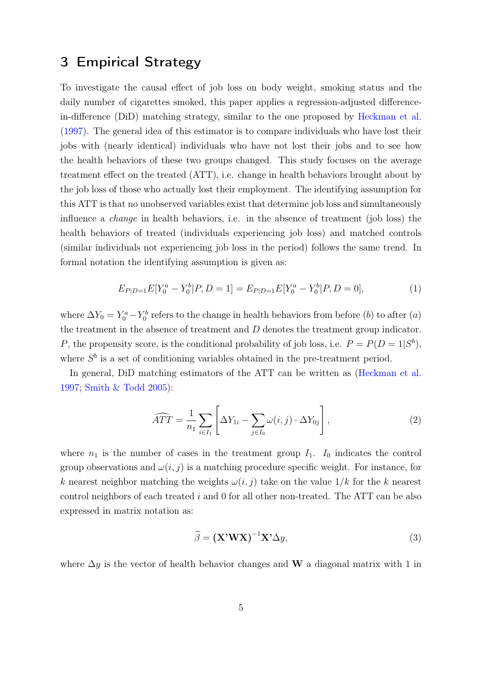# <span id="page-5-0"></span>3 Empirical Strategy

To investigate the causal effect of job loss on body weight, smoking status and the daily number of cigarettes smoked, this paper applies a regression-adjusted differencein-difference (DiD) matching strategy, similar to the one proposed by [Heckman et al.](#page-31-9) [\(1997\)](#page-31-9). The general idea of this estimator is to compare individuals who have lost their jobs with (nearly identical) individuals who have not lost their jobs and to see how the health behaviors of these two groups changed. This study focuses on the average treatment effect on the treated (ATT), i.e. change in health behaviors brought about by the job loss of those who actually lost their employment. The identifying assumption for this ATT is that no unobserved variables exist that determine job loss and simultaneously influence a change in health behaviors, i.e. in the absence of treatment (job loss) the health behaviors of treated (individuals experiencing job loss) and matched controls (similar individuals not experiencing job loss in the period) follows the same trend. In formal notation the identifying assumption is given as:

$$
E_{P|D=1}E[Y_0^a - Y_0^b | P, D=1] = E_{P|D=1}E[Y_0^a - Y_0^b | P, D=0],
$$
\n(1)

where  $\Delta Y_0 = Y_0^a - Y_0^b$  refers to the change in health behaviors from before (b) to after (a) the treatment in the absence of treatment and D denotes the treatment group indicator. P, the propensity score, is the conditional probability of job loss, i.e.  $P = P(D = 1|S^b)$ , where  $S<sup>b</sup>$  is a set of conditioning variables obtained in the pre-treatment period.

In general, DiD matching estimators of the ATT can be written as [\(Heckman et al.](#page-31-9) [1997;](#page-31-9) [Smith & Todd](#page-33-7) [2005\)](#page-33-7):

<span id="page-5-2"></span>
$$
\widehat{ATT} = \frac{1}{n_1} \sum_{i \in I_1} \left[ \Delta Y_{1i} - \sum_{j \in I_0} \omega(i, j) \cdot \Delta Y_{0j} \right],\tag{2}
$$

where  $n_1$  is the number of cases in the treatment group  $I_1$ .  $I_0$  indicates the control group observations and  $\omega(i, j)$  is a matching procedure specific weight. For instance, for k nearest neighbor matching the weights  $\omega(i, j)$  take on the value  $1/k$  for the k nearest control neighbors of each treated i and 0 for all other non-treated. The ATT can be also expressed in matrix notation as:

<span id="page-5-1"></span>
$$
\widehat{\beta} = (\mathbf{X}^{\prime} \mathbf{W} \mathbf{X})^{-1} \mathbf{X}^{\prime} \Delta y,\tag{3}
$$

where  $\Delta y$  is the vector of health behavior changes and W a diagonal matrix with 1 in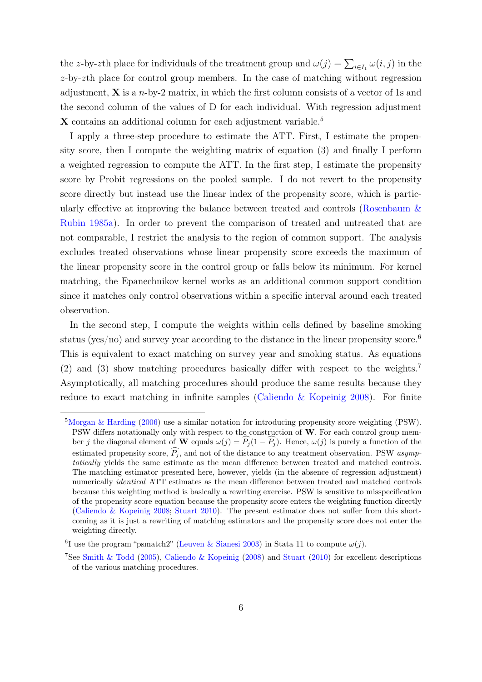the z-by-zth place for individuals of the treatment group and  $\omega(j) = \sum_{i \in I_1} \omega(i, j)$  in the  $z$ -by-zth place for control group members. In the case of matching without regression adjustment,  $X$  is a *n*-by-2 matrix, in which the first column consists of a vector of 1s and the second column of the values of D for each individual. With regression adjustment X contains an additional column for each adjustment variable.<sup>[5](#page-6-0)</sup>

I apply a three-step procedure to estimate the ATT. First, I estimate the propensity score, then I compute the weighting matrix of equation [\(3\)](#page-5-1) and finally I perform a weighted regression to compute the ATT. In the first step, I estimate the propensity score by Probit regressions on the pooled sample. I do not revert to the propensity score directly but instead use the linear index of the propensity score, which is particularly effective at improving the balance between treated and controls [\(Rosenbaum &](#page-32-7) [Rubin](#page-32-7) [1985a\)](#page-32-7). In order to prevent the comparison of treated and untreated that are not comparable, I restrict the analysis to the region of common support. The analysis excludes treated observations whose linear propensity score exceeds the maximum of the linear propensity score in the control group or falls below its minimum. For kernel matching, the Epanechnikov kernel works as an additional common support condition since it matches only control observations within a specific interval around each treated observation.

In the second step, I compute the weights within cells defined by baseline smoking status (yes/no) and survey year according to the distance in the linear propensity score.<sup>[6](#page-6-1)</sup> This is equivalent to exact matching on survey year and smoking status. As equations [\(2\)](#page-5-2) and [\(3\)](#page-5-1) show matching procedures basically differ with respect to the weights.[7](#page-6-2) Asymptotically, all matching procedures should produce the same results because they reduce to exact matching in infinite samples [\(Caliendo & Kopeinig](#page-30-7) [2008\)](#page-30-7). For finite

<span id="page-6-0"></span><sup>5</sup>[Morgan & Harding](#page-32-8) [\(2006\)](#page-32-8) use a similar notation for introducing propensity score weighting (PSW). PSW differs notationally only with respect to the construction of  $W$ . For each control group member j the diagonal element of W equals  $\omega(j) = \widehat{P}_j(1 - \widehat{P}_j)$ . Hence,  $\omega(j)$  is purely a function of the estimated propensity score,  $\widehat{P}_j$ , and not of the distance to any treatment observation. PSW asymptotically yields the same estimate as the mean difference between treated and matched controls. The matching estimator presented here, however, yields (in the absence of regression adjustment) numerically identical ATT estimates as the mean difference between treated and matched controls because this weighting method is basically a rewriting exercise. PSW is sensitive to misspecification of the propensity score equation because the propensity score enters the weighting function directly [\(Caliendo & Kopeinig](#page-30-7) [2008;](#page-30-7) [Stuart](#page-33-8) [2010\)](#page-33-8). The present estimator does not suffer from this shortcoming as it is just a rewriting of matching estimators and the propensity score does not enter the weighting directly.

<span id="page-6-1"></span><sup>&</sup>lt;sup>6</sup>I use the program "psmatch2" [\(Leuven & Sianesi](#page-32-9) [2003\)](#page-32-9) in Stata 11 to compute  $\omega(j)$ .

<span id="page-6-2"></span><sup>7</sup>See [Smith & Todd](#page-33-7) [\(2005\)](#page-33-7), [Caliendo & Kopeinig](#page-30-7) [\(2008\)](#page-30-7) and [Stuart](#page-33-8) [\(2010\)](#page-33-8) for excellent descriptions of the various matching procedures.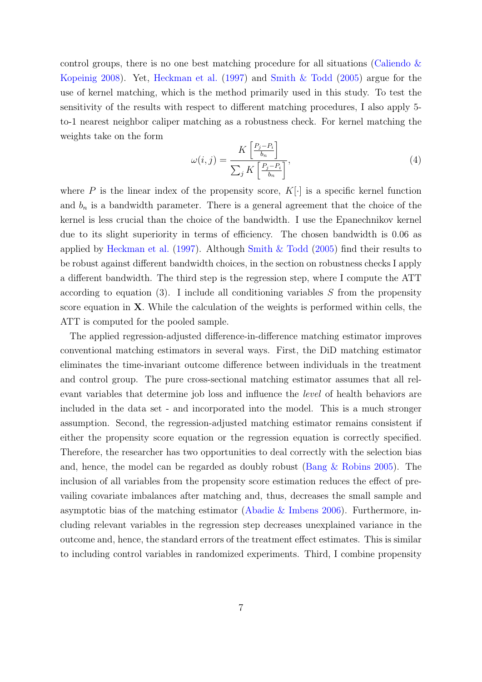control groups, there is no one best matching procedure for all situations [\(Caliendo &](#page-30-7) [Kopeinig](#page-30-7) [2008\)](#page-30-7). Yet, [Heckman et al.](#page-31-9) [\(1997\)](#page-31-9) and [Smith & Todd](#page-33-7) [\(2005\)](#page-33-7) argue for the use of kernel matching, which is the method primarily used in this study. To test the sensitivity of the results with respect to different matching procedures, I also apply 5 to-1 nearest neighbor caliper matching as a robustness check. For kernel matching the weights take on the form

$$
\omega(i,j) = \frac{K\left[\frac{P_j - P_i}{b_n}\right]}{\sum_j K\left[\frac{P_j - P_i}{b_n}\right]},\tag{4}
$$

where P is the linear index of the propensity score,  $K[\cdot]$  is a specific kernel function and  $b_n$  is a bandwidth parameter. There is a general agreement that the choice of the kernel is less crucial than the choice of the bandwidth. I use the Epanechnikov kernel due to its slight superiority in terms of efficiency. The chosen bandwidth is 0.06 as applied by [Heckman et al.](#page-31-9) [\(1997\)](#page-31-9). Although [Smith & Todd](#page-33-7) [\(2005\)](#page-33-7) find their results to be robust against different bandwidth choices, in the section on robustness checks I apply a different bandwidth. The third step is the regression step, where I compute the ATT according to equation [\(3\)](#page-5-1). I include all conditioning variables  $S$  from the propensity score equation in X. While the calculation of the weights is performed within cells, the ATT is computed for the pooled sample.

The applied regression-adjusted difference-in-difference matching estimator improves conventional matching estimators in several ways. First, the DiD matching estimator eliminates the time-invariant outcome difference between individuals in the treatment and control group. The pure cross-sectional matching estimator assumes that all relevant variables that determine job loss and influence the level of health behaviors are included in the data set - and incorporated into the model. This is a much stronger assumption. Second, the regression-adjusted matching estimator remains consistent if either the propensity score equation or the regression equation is correctly specified. Therefore, the researcher has two opportunities to deal correctly with the selection bias and, hence, the model can be regarded as doubly robust [\(Bang & Robins](#page-30-8) [2005\)](#page-30-8). The inclusion of all variables from the propensity score estimation reduces the effect of prevailing covariate imbalances after matching and, thus, decreases the small sample and asymptotic bias of the matching estimator [\(Abadie & Imbens](#page-30-9) [2006\)](#page-30-9). Furthermore, including relevant variables in the regression step decreases unexplained variance in the outcome and, hence, the standard errors of the treatment effect estimates. This is similar to including control variables in randomized experiments. Third, I combine propensity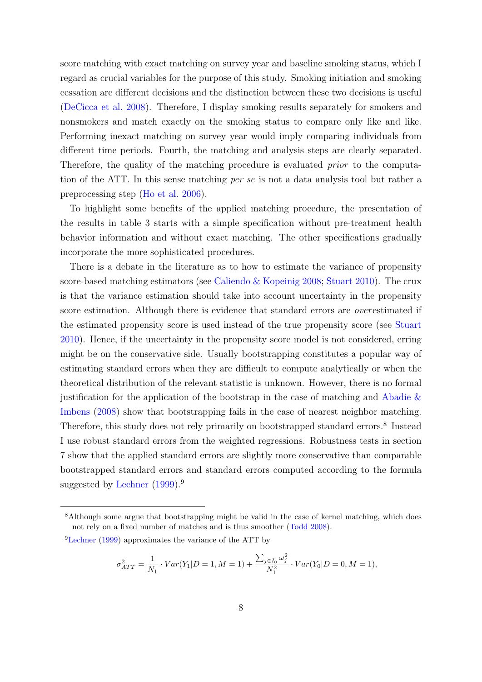score matching with exact matching on survey year and baseline smoking status, which I regard as crucial variables for the purpose of this study. Smoking initiation and smoking cessation are different decisions and the distinction between these two decisions is useful [\(DeCicca et al.](#page-31-10) [2008\)](#page-31-10). Therefore, I display smoking results separately for smokers and nonsmokers and match exactly on the smoking status to compare only like and like. Performing inexact matching on survey year would imply comparing individuals from different time periods. Fourth, the matching and analysis steps are clearly separated. Therefore, the quality of the matching procedure is evaluated prior to the computation of the ATT. In this sense matching per se is not a data analysis tool but rather a preprocessing step [\(Ho et al.](#page-31-11) [2006\)](#page-31-11).

To highlight some benefits of the applied matching procedure, the presentation of the results in table [3](#page-17-0) starts with a simple specification without pre-treatment health behavior information and without exact matching. The other specifications gradually incorporate the more sophisticated procedures.

There is a debate in the literature as to how to estimate the variance of propensity score-based matching estimators (see [Caliendo & Kopeinig](#page-30-7) [2008;](#page-30-7) [Stuart](#page-33-8) [2010\)](#page-33-8). The crux is that the variance estimation should take into account uncertainty in the propensity score estimation. Although there is evidence that standard errors are *over* estimated if the estimated propensity score is used instead of the true propensity score (see [Stuart](#page-33-8) [2010\)](#page-33-8). Hence, if the uncertainty in the propensity score model is not considered, erring might be on the conservative side. Usually bootstrapping constitutes a popular way of estimating standard errors when they are difficult to compute analytically or when the theoretical distribution of the relevant statistic is unknown. However, there is no formal justification for the application of the bootstrap in the case of matching and [Abadie &](#page-30-10) [Imbens](#page-30-10) [\(2008\)](#page-30-10) show that bootstrapping fails in the case of nearest neighbor matching. Therefore, this study does not rely primarily on bootstrapped standard errors.<sup>[8](#page-8-0)</sup> Instead I use robust standard errors from the weighted regressions. Robustness tests in section [7](#page-19-0) show that the applied standard errors are slightly more conservative than comparable bootstrapped standard errors and standard errors computed according to the formula suggested by [Lechner](#page-32-10)  $(1999)$ .<sup>[9](#page-8-1)</sup>

$$
\sigma_{ATT}^2 = \frac{1}{N_1} \cdot Var(Y_1|D=1, M=1) + \frac{\sum_{j \in I_0} \omega_j^2}{N_1^2} \cdot Var(Y_0|D=0, M=1),
$$

<span id="page-8-0"></span><sup>8</sup>Although some argue that bootstrapping might be valid in the case of kernel matching, which does not rely on a fixed number of matches and is thus smoother [\(Todd](#page-33-9) [2008\)](#page-33-9).

<span id="page-8-1"></span><sup>9</sup>[Lechner](#page-32-10) [\(1999\)](#page-32-10) approximates the variance of the ATT by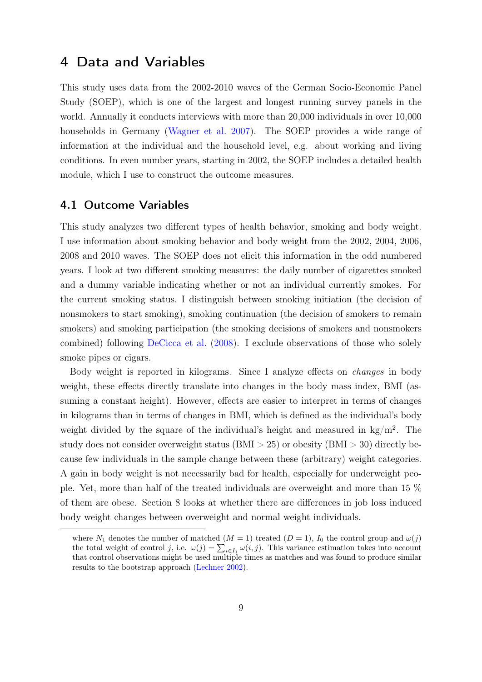## <span id="page-9-0"></span>4 Data and Variables

This study uses data from the 2002-2010 waves of the German Socio-Economic Panel Study (SOEP), which is one of the largest and longest running survey panels in the world. Annually it conducts interviews with more than 20,000 individuals in over 10,000 households in Germany [\(Wagner et al.](#page-33-10) [2007\)](#page-33-10). The SOEP provides a wide range of information at the individual and the household level, e.g. about working and living conditions. In even number years, starting in 2002, the SOEP includes a detailed health module, which I use to construct the outcome measures.

#### 4.1 Outcome Variables

This study analyzes two different types of health behavior, smoking and body weight. I use information about smoking behavior and body weight from the 2002, 2004, 2006, 2008 and 2010 waves. The SOEP does not elicit this information in the odd numbered years. I look at two different smoking measures: the daily number of cigarettes smoked and a dummy variable indicating whether or not an individual currently smokes. For the current smoking status, I distinguish between smoking initiation (the decision of nonsmokers to start smoking), smoking continuation (the decision of smokers to remain smokers) and smoking participation (the smoking decisions of smokers and nonsmokers combined) following [DeCicca et al.](#page-31-10) [\(2008\)](#page-31-10). I exclude observations of those who solely smoke pipes or cigars.

Body weight is reported in kilograms. Since I analyze effects on changes in body weight, these effects directly translate into changes in the body mass index, BMI (assuming a constant height). However, effects are easier to interpret in terms of changes in kilograms than in terms of changes in BMI, which is defined as the individual's body weight divided by the square of the individual's height and measured in  $\text{kg/m}^2$ . The study does not consider overweight status (BMI  $> 25$ ) or obesity (BMI  $> 30$ ) directly because few individuals in the sample change between these (arbitrary) weight categories. A gain in body weight is not necessarily bad for health, especially for underweight people. Yet, more than half of the treated individuals are overweight and more than 15 % of them are obese. Section [8](#page-24-0) looks at whether there are differences in job loss induced body weight changes between overweight and normal weight individuals.

where  $N_1$  denotes the number of matched  $(M = 1)$  treated  $(D = 1)$ ,  $I_0$  the control group and  $\omega(j)$ the total weight of control j, i.e.  $\omega(j) = \sum_{i \in I_1} \omega(i, j)$ . This variance estimation takes into account that control observations might be used multiple times as matches and was found to produce similar results to the bootstrap approach [\(Lechner](#page-32-11) [2002\)](#page-32-11).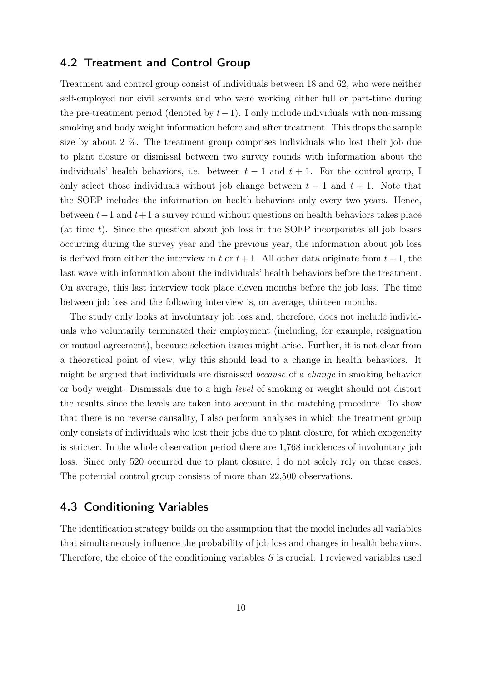#### 4.2 Treatment and Control Group

Treatment and control group consist of individuals between 18 and 62, who were neither self-employed nor civil servants and who were working either full or part-time during the pre-treatment period (denoted by  $t-1$ ). I only include individuals with non-missing smoking and body weight information before and after treatment. This drops the sample size by about 2 %. The treatment group comprises individuals who lost their job due to plant closure or dismissal between two survey rounds with information about the individuals' health behaviors, i.e. between  $t-1$  and  $t+1$ . For the control group, I only select those individuals without job change between  $t - 1$  and  $t + 1$ . Note that the SOEP includes the information on health behaviors only every two years. Hence, between  $t-1$  and  $t+1$  a survey round without questions on health behaviors takes place (at time  $t$ ). Since the question about job loss in the SOEP incorporates all job losses occurring during the survey year and the previous year, the information about job loss is derived from either the interview in t or  $t + 1$ . All other data originate from  $t - 1$ , the last wave with information about the individuals' health behaviors before the treatment. On average, this last interview took place eleven months before the job loss. The time between job loss and the following interview is, on average, thirteen months.

The study only looks at involuntary job loss and, therefore, does not include individuals who voluntarily terminated their employment (including, for example, resignation or mutual agreement), because selection issues might arise. Further, it is not clear from a theoretical point of view, why this should lead to a change in health behaviors. It might be argued that individuals are dismissed because of a change in smoking behavior or body weight. Dismissals due to a high level of smoking or weight should not distort the results since the levels are taken into account in the matching procedure. To show that there is no reverse causality, I also perform analyses in which the treatment group only consists of individuals who lost their jobs due to plant closure, for which exogeneity is stricter. In the whole observation period there are 1,768 incidences of involuntary job loss. Since only 520 occurred due to plant closure, I do not solely rely on these cases. The potential control group consists of more than 22,500 observations.

#### 4.3 Conditioning Variables

The identification strategy builds on the assumption that the model includes all variables that simultaneously influence the probability of job loss and changes in health behaviors. Therefore, the choice of the conditioning variables  $S$  is crucial. I reviewed variables used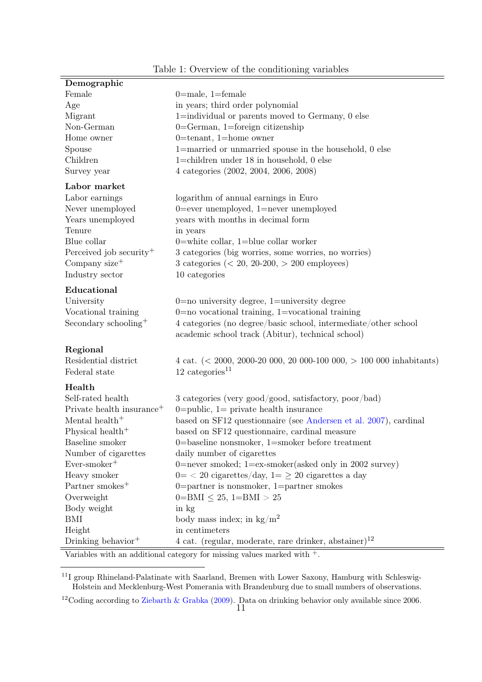<span id="page-11-2"></span>

| Demographic                           |                                                                           |
|---------------------------------------|---------------------------------------------------------------------------|
| Female                                | $0 = male$ , 1=female                                                     |
| Age                                   | in years; third order polynomial                                          |
| Migrant                               | 1=individual or parents moved to Germany, 0 else                          |
| Non-German                            | $0 = German$ , 1=foreign citizenship                                      |
| Home owner                            | $0$ =tenant, 1=home owner                                                 |
| Spouse                                | 1=married or unmarried spouse in the household, 0 else                    |
| Children                              | 1=children under $18$ in household, 0 else                                |
| Survey year                           | 4 categories (2002, 2004, 2006, 2008)                                     |
| Labor market                          |                                                                           |
| Labor earnings                        | logarithm of annual earnings in Euro                                      |
| Never unemployed                      | $0 =$ ever unemployed, $1 =$ never unemployed                             |
| Years unemployed                      | years with months in decimal form                                         |
| Tenure                                | in years                                                                  |
| Blue collar                           | 0=white collar, $1$ =blue collar worker                                   |
| Perceived job security <sup>+</sup>   | 3 categories (big worries, some worries, no worries)                      |
| Company size <sup>+</sup>             | 3 categories $(20, 20{\text -}200, > 200 employees)$                      |
| Industry sector                       | 10 categories                                                             |
|                                       |                                                                           |
| Educational                           |                                                                           |
| University                            | $0=$ no university degree, $1=$ university degree                         |
| Vocational training                   | $0=$ no vocational training, 1=vocational training                        |
| Secondary schooling <sup>+</sup>      | 4 categories (no degree/basic school, intermediate/other school           |
|                                       | academic school track (Abitur), technical school)                         |
| Regional                              |                                                                           |
| Residential district                  | 4 cat. $(< 2000, 2000-20, 000, 20, 000-100, 000, > 100, 000$ inhabitants) |
| Federal state                         | $12 \text{ categories}^{11}$                                              |
| Health                                |                                                                           |
| Self-rated health                     | 3 categories (very good/good, satisfactory, poor/bad)                     |
| Private health insurance <sup>+</sup> | 0= public, $1=$ private health insurance                                  |
| Mental health <sup>+</sup>            | based on SF12 questionnaire (see Andersen et al. 2007), cardinal          |
| Physical health <sup>+</sup>          | based on SF12 questionnaire, cardinal measure                             |
| Baseline smoker                       | 0=baseline nonsmoker, $1$ =smoker before treatment                        |
| Number of cigarettes                  | daily number of cigarettes                                                |
| $Ever-smoker$ <sup>+</sup>            | 0=never smoked; $1=ex$ -smoker(asked only in 2002 survey)                 |
| Heavy smoker                          | $0 = 0$ cigarettes/day, $1 = 20$ cigarettes a day                         |
| Partner smokes <sup>+</sup>           | $0 =$ partner is nonsmoker, 1=partner smokes                              |
| Overweight                            | $0 = BMI \leq 25$ , $1 = BMI > 25$                                        |
| Body weight                           | in kg                                                                     |
| <b>BMI</b>                            | body mass index; in $\text{kg/m}^2$                                       |
| Height                                | in centimeters                                                            |
| Drinking behavior <sup>+</sup>        | 4 cat. (regular, moderate, rare drinker, abstainer) <sup>12</sup>         |
|                                       |                                                                           |

#### Table 1: Overview of the conditioning variables

Variables with an additional category for missing values marked with  $+$ .

<span id="page-11-0"></span><sup>11</sup>I group Rhineland-Palatinate with Saarland, Bremen with Lower Saxony, Hamburg with Schleswig-Holstein and Mecklenburg-West Pomerania with Brandenburg due to small numbers of observations.

<span id="page-11-1"></span><sup>12</sup>Coding according to [Ziebarth & Grabka](#page-33-11) [\(2009\)](#page-33-11). Data on drinking behavior only available since 2006.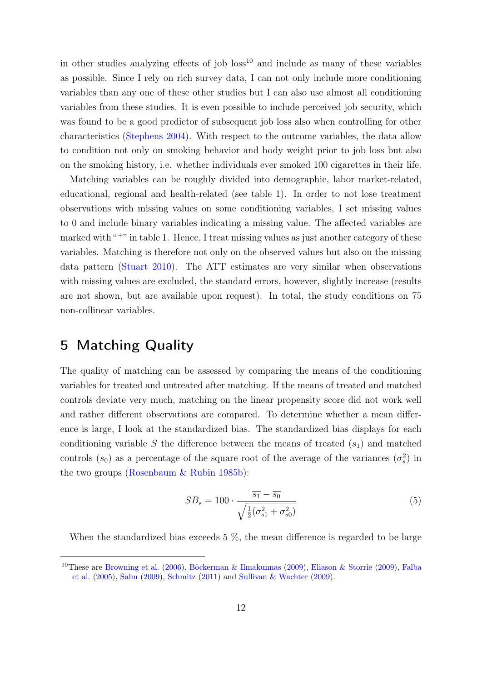in other studies analyzing effects of job  $loss^{10}$  $loss^{10}$  $loss^{10}$  and include as many of these variables as possible. Since I rely on rich survey data, I can not only include more conditioning variables than any one of these other studies but I can also use almost all conditioning variables from these studies. It is even possible to include perceived job security, which was found to be a good predictor of subsequent job loss also when controlling for other characteristics [\(Stephens](#page-33-12) [2004\)](#page-33-12). With respect to the outcome variables, the data allow to condition not only on smoking behavior and body weight prior to job loss but also on the smoking history, i.e. whether individuals ever smoked 100 cigarettes in their life.

Matching variables can be roughly divided into demographic, labor market-related, educational, regional and health-related (see table [1\)](#page-11-2). In order to not lose treatment observations with missing values on some conditioning variables, I set missing values to 0 and include binary variables indicating a missing value. The affected variables are marked with "<sup>+</sup>" in table [1.](#page-11-2) Hence, I treat missing values as just another category of these variables. Matching is therefore not only on the observed values but also on the missing data pattern [\(Stuart](#page-33-8) [2010\)](#page-33-8). The ATT estimates are very similar when observations with missing values are excluded, the standard errors, however, slightly increase (results are not shown, but are available upon request). In total, the study conditions on 75 non-collinear variables.

## <span id="page-12-0"></span>5 Matching Quality

The quality of matching can be assessed by comparing the means of the conditioning variables for treated and untreated after matching. If the means of treated and matched controls deviate very much, matching on the linear propensity score did not work well and rather different observations are compared. To determine whether a mean difference is large, I look at the standardized bias. The standardized bias displays for each conditioning variable S the difference between the means of treated  $(s_1)$  and matched controls  $(s_0)$  as a percentage of the square root of the average of the variances  $(\sigma_s^2)$  in the two groups [\(Rosenbaum & Rubin](#page-32-12) [1985b\)](#page-32-12):

$$
SB_s = 100 \cdot \frac{\overline{s_1} - \overline{s_0}}{\sqrt{\frac{1}{2}(\sigma_{s1}^2 + \sigma_{s0}^2)}}
$$
(5)

When the standardized bias exceeds  $5\%$ , the mean difference is regarded to be large

<span id="page-12-1"></span><sup>10</sup>These are [Browning et al.](#page-30-1) [\(2006\)](#page-30-1), [Böckerman & Ilmakunnas](#page-30-2) [\(2009\)](#page-30-2), [Eliason & Storrie](#page-31-2) [\(2009\)](#page-31-2), [Falba](#page-31-4) [et al.](#page-31-4) [\(2005\)](#page-31-4), [Salm](#page-33-3) [\(2009\)](#page-33-3), [Schmitz](#page-33-4) [\(2011\)](#page-33-4) and [Sullivan & Wachter](#page-33-1) [\(2009\)](#page-33-1).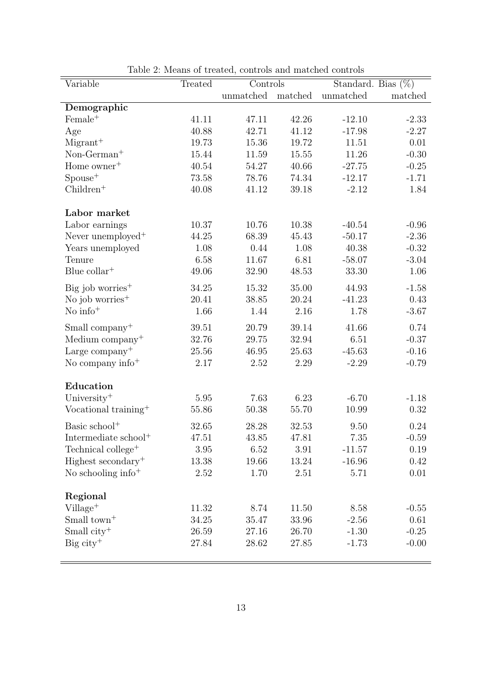<span id="page-13-0"></span>

| Variable                         | Treated | Controls  |           | Standard. Bias $(\%)$ |         |  |
|----------------------------------|---------|-----------|-----------|-----------------------|---------|--|
|                                  |         | unmatched | matched   | unmatched             | matched |  |
| Demographic                      |         |           |           |                       |         |  |
| $Female+$                        | 41.11   | 47.11     | 42.26     | $-12.10$              | $-2.33$ |  |
| Age                              | 40.88   | 42.71     | 41.12     | $-17.98$              | $-2.27$ |  |
| $Migrant+$                       | 19.73   | 15.36     | 19.72     | 11.51                 | 0.01    |  |
| $Non-German+$                    | 15.44   | 11.59     | 15.55     | 11.26                 | $-0.30$ |  |
| Home owner <sup>+</sup>          | 40.54   | 54.27     | 40.66     | $-27.75$              | $-0.25$ |  |
| $Spouse+$                        | 73.58   | 78.76     | 74.34     | $-12.17$              | $-1.71$ |  |
| $Children+$                      | 40.08   | 41.12     | 39.18     | $-2.12$               | 1.84    |  |
| Labor market                     |         |           |           |                       |         |  |
| Labor earnings                   | 10.37   | 10.76     | 10.38     | $-40.54$              | $-0.96$ |  |
| Never unemployed <sup>+</sup>    | 44.25   | 68.39     | 45.43     | $-50.17$              | $-2.36$ |  |
| Years unemployed                 | 1.08    | 0.44      | 1.08      | 40.38                 | $-0.32$ |  |
| Tenure                           | 6.58    | 11.67     | 6.81      | $-58.07$              | $-3.04$ |  |
| Blue $\text{collar}^+$           | 49.06   | 32.90     | 48.53     | 33.30                 | 1.06    |  |
| $Big$ job worries <sup>+</sup>   | 34.25   | 15.32     | 35.00     | 44.93                 | $-1.58$ |  |
| No job worries <sup>+</sup>      | 20.41   | 38.85     | 20.24     | $-41.23$              | 0.43    |  |
| No $info^+$                      | 1.66    | 1.44      | 2.16      | 1.78                  | $-3.67$ |  |
| Small company <sup>+</sup>       | 39.51   | 20.79     | 39.14     | 41.66                 | 0.74    |  |
| Medium company <sup>+</sup>      | 32.76   | 29.75     | 32.94     | 6.51                  | $-0.37$ |  |
| Large company <sup>+</sup>       | 25.56   | 46.95     | $25.63\,$ | $-45.63$              | $-0.16$ |  |
| No company info $+$              | 2.17    | 2.52      | 2.29      | $-2.29$               | $-0.79$ |  |
| Education                        |         |           |           |                       |         |  |
| University <sup>+</sup>          | 5.95    | 7.63      | 6.23      | $-6.70$               | $-1.18$ |  |
| Vocational training <sup>+</sup> | 55.86   | 50.38     | 55.70     | 10.99                 | 0.32    |  |
| Basic school <sup>+</sup>        | 32.65   | 28.28     | 32.53     | 9.50                  | 0.24    |  |
| Intermediate school <sup>+</sup> | 47.51   | 43.85     | 47.81     | $7.35\,$              | $-0.59$ |  |
| Technical college <sup>+</sup>   | 3.95    | 6.52      | 3.91      | $-11.57$              | 0.19    |  |
| Highest secondary <sup>+</sup>   | 13.38   | 19.66     | 13.24     | $-16.96$              | 0.42    |  |
| No schooling info $+$            | 2.52    | 1.70      | 2.51      | 5.71                  | 0.01    |  |
| Regional                         |         |           |           |                       |         |  |
| $Village+$                       | 11.32   | 8.74      | 11.50     | 8.58                  | $-0.55$ |  |
| Small $town+$                    | 34.25   | 35.47     | 33.96     | $-2.56$               | 0.61    |  |
| Small $city^+$                   | 26.59   | 27.16     | 26.70     | $-1.30$               | $-0.25$ |  |
| $Big\$ city <sup>+</sup>         | 27.84   | 28.62     | 27.85     | $-1.73$               | $-0.00$ |  |
|                                  |         |           |           |                       |         |  |

Table 2: Means of treated, controls and matched controls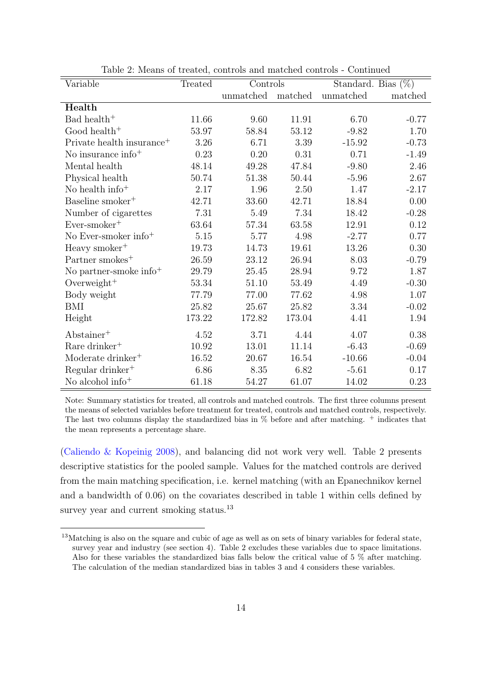| Variable                              | Treated  | Controls  |          | Standard. Bias $(\%)$ |         |
|---------------------------------------|----------|-----------|----------|-----------------------|---------|
|                                       |          | unmatched | matched  | unmatched             | matched |
| Health                                |          |           |          |                       |         |
| Bad health <sup>+</sup>               | 11.66    | 9.60      | 11.91    | 6.70                  | $-0.77$ |
| Good health <sup>+</sup>              | 53.97    | 58.84     | 53.12    | $-9.82$               | 1.70    |
| Private health insurance <sup>+</sup> | 3.26     | 6.71      | 3.39     | $-15.92$              | $-0.73$ |
| No insurance info $+$                 | 0.23     | 0.20      | 0.31     | 0.71                  | $-1.49$ |
| Mental health                         | 48.14    | 49.28     | 47.84    | $-9.80$               | 2.46    |
| Physical health                       | 50.74    | 51.38     | 50.44    | $-5.96$               | 2.67    |
| No health info <sup>+</sup>           | 2.17     | 1.96      | $2.50\,$ | 1.47                  | $-2.17$ |
| Baseline smoker <sup>+</sup>          | 42.71    | 33.60     | 42.71    | 18.84                 | 0.00    |
| Number of cigarettes                  | 7.31     | 5.49      | 7.34     | 18.42                 | $-0.28$ |
| $Ever-smoker+$                        | 63.64    | 57.34     | 63.58    | 12.91                 | 0.12    |
| No Ever-smoker info $+$               | 5.15     | 5.77      | 4.98     | $-2.77$               | 0.77    |
| Heavy smoker <sup>+</sup>             | 19.73    | 14.73     | 19.61    | 13.26                 | 0.30    |
| Partner smokes <sup>+</sup>           | 26.59    | 23.12     | 26.94    | 8.03                  | $-0.79$ |
| No partner-smoke info <sup>+</sup>    | 29.79    | 25.45     | 28.94    | 9.72                  | 1.87    |
| Overweight <sup>+</sup>               | 53.34    | 51.10     | 53.49    | 4.49                  | $-0.30$ |
| Body weight                           | 77.79    | 77.00     | 77.62    | 4.98                  | 1.07    |
| BMI                                   | 25.82    | 25.67     | 25.82    | 3.34                  | $-0.02$ |
| Height                                | 173.22   | 172.82    | 173.04   | 4.41                  | 1.94    |
| Abstract                              | 4.52     | 3.71      | 4.44     | 4.07                  | 0.38    |
| Rare drinker <sup>+</sup>             | 10.92    | 13.01     | 11.14    | $-6.43$               | $-0.69$ |
| Moderate drinker <sup>+</sup>         | 16.52    | 20.67     | 16.54    | $-10.66$              | $-0.04$ |
| Regular drinker <sup>+</sup>          | $6.86\,$ | 8.35      | 6.82     | $-5.61$               | 0.17    |
| No alcohol info <sup>+</sup>          | 61.18    | 54.27     | 61.07    | 14.02                 | 0.23    |

Table 2: Means of treated, controls and matched controls - Continued

Note: Summary statistics for treated, all controls and matched controls. The first three columns present the means of selected variables before treatment for treated, controls and matched controls, respectively. The last two columns display the standardized bias in % before and after matching. <sup>+</sup> indicates that the mean represents a percentage share.

[\(Caliendo & Kopeinig](#page-30-7) [2008\)](#page-30-7), and balancing did not work very well. Table [2](#page-13-0) presents descriptive statistics for the pooled sample. Values for the matched controls are derived from the main matching specification, i.e. kernel matching (with an Epanechnikov kernel and a bandwidth of 0.06) on the covariates described in table [1](#page-11-2) within cells defined by survey year and current smoking status.<sup>[13](#page-14-0)</sup>

<span id="page-14-0"></span><sup>13</sup>Matching is also on the square and cubic of age as well as on sets of binary variables for federal state, survey year and industry (see section [4\)](#page-9-0). Table [2](#page-13-0) excludes these variables due to space limitations. Also for these variables the standardized bias falls below the critical value of 5 % after matching. The calculation of the median standardized bias in tables [3](#page-17-0) and [4](#page-20-0) considers these variables.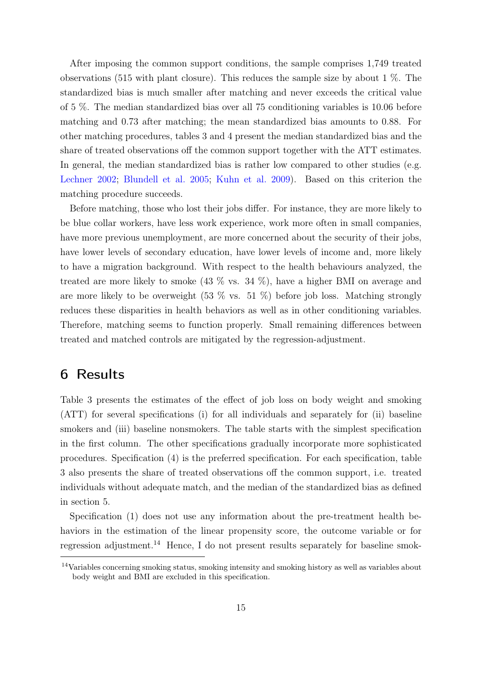After imposing the common support conditions, the sample comprises 1,749 treated observations (515 with plant closure). This reduces the sample size by about 1 %. The standardized bias is much smaller after matching and never exceeds the critical value of 5 %. The median standardized bias over all 75 conditioning variables is 10.06 before matching and 0.73 after matching; the mean standardized bias amounts to 0.88. For other matching procedures, tables [3](#page-17-0) and [4](#page-20-0) present the median standardized bias and the share of treated observations off the common support together with the ATT estimates. In general, the median standardized bias is rather low compared to other studies (e.g. [Lechner](#page-32-11) [2002;](#page-32-11) [Blundell et al.](#page-30-12) [2005;](#page-30-12) [Kuhn et al.](#page-32-6) [2009\)](#page-32-6). Based on this criterion the matching procedure succeeds.

Before matching, those who lost their jobs differ. For instance, they are more likely to be blue collar workers, have less work experience, work more often in small companies, have more previous unemployment, are more concerned about the security of their jobs, have lower levels of secondary education, have lower levels of income and, more likely to have a migration background. With respect to the health behaviours analyzed, the treated are more likely to smoke  $(43\%$  vs.  $34\%$ ), have a higher BMI on average and are more likely to be overweight  $(53 \% \text{ vs. } 51 \%)$  before job loss. Matching strongly reduces these disparities in health behaviors as well as in other conditioning variables. Therefore, matching seems to function properly. Small remaining differences between treated and matched controls are mitigated by the regression-adjustment.

## <span id="page-15-0"></span>6 Results

Table [3](#page-17-0) presents the estimates of the effect of job loss on body weight and smoking (ATT) for several specifications (i) for all individuals and separately for (ii) baseline smokers and (iii) baseline nonsmokers. The table starts with the simplest specification in the first column. The other specifications gradually incorporate more sophisticated procedures. Specification (4) is the preferred specification. For each specification, table [3](#page-17-0) also presents the share of treated observations off the common support, i.e. treated individuals without adequate match, and the median of the standardized bias as defined in section [5.](#page-12-0)

Specification (1) does not use any information about the pre-treatment health behaviors in the estimation of the linear propensity score, the outcome variable or for regression adjustment.[14](#page-15-1) Hence, I do not present results separately for baseline smok-

<span id="page-15-1"></span><sup>14</sup>Variables concerning smoking status, smoking intensity and smoking history as well as variables about body weight and BMI are excluded in this specification.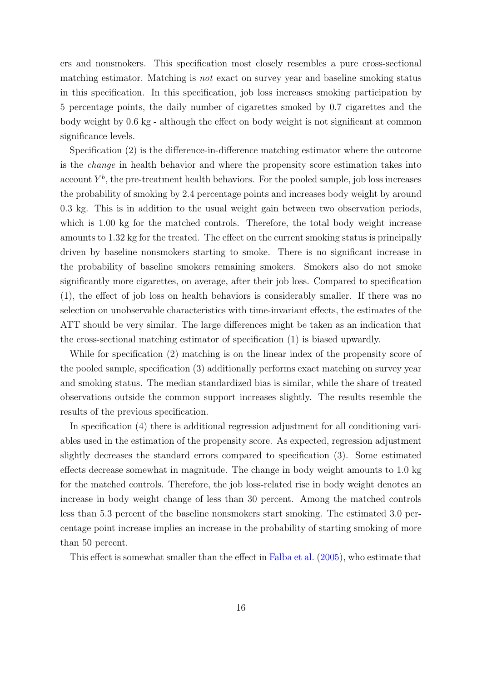ers and nonsmokers. This specification most closely resembles a pure cross-sectional matching estimator. Matching is not exact on survey year and baseline smoking status in this specification. In this specification, job loss increases smoking participation by 5 percentage points, the daily number of cigarettes smoked by 0.7 cigarettes and the body weight by 0.6 kg - although the effect on body weight is not significant at common significance levels.

Specification (2) is the difference-in-difference matching estimator where the outcome is the change in health behavior and where the propensity score estimation takes into account  $Y^b$ , the pre-treatment health behaviors. For the pooled sample, job loss increases the probability of smoking by 2.4 percentage points and increases body weight by around 0.3 kg. This is in addition to the usual weight gain between two observation periods, which is 1.00 kg for the matched controls. Therefore, the total body weight increase amounts to 1.32 kg for the treated. The effect on the current smoking status is principally driven by baseline nonsmokers starting to smoke. There is no significant increase in the probability of baseline smokers remaining smokers. Smokers also do not smoke significantly more cigarettes, on average, after their job loss. Compared to specification (1), the effect of job loss on health behaviors is considerably smaller. If there was no selection on unobservable characteristics with time-invariant effects, the estimates of the ATT should be very similar. The large differences might be taken as an indication that the cross-sectional matching estimator of specification (1) is biased upwardly.

While for specification (2) matching is on the linear index of the propensity score of the pooled sample, specification (3) additionally performs exact matching on survey year and smoking status. The median standardized bias is similar, while the share of treated observations outside the common support increases slightly. The results resemble the results of the previous specification.

In specification (4) there is additional regression adjustment for all conditioning variables used in the estimation of the propensity score. As expected, regression adjustment slightly decreases the standard errors compared to specification (3). Some estimated effects decrease somewhat in magnitude. The change in body weight amounts to 1.0 kg for the matched controls. Therefore, the job loss-related rise in body weight denotes an increase in body weight change of less than 30 percent. Among the matched controls less than 5.3 percent of the baseline nonsmokers start smoking. The estimated 3.0 percentage point increase implies an increase in the probability of starting smoking of more than 50 percent.

This effect is somewhat smaller than the effect in [Falba et al.](#page-31-4) [\(2005\)](#page-31-4), who estimate that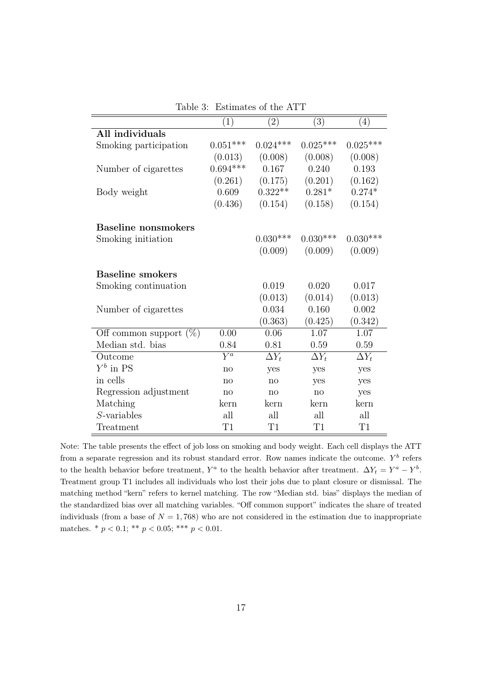<span id="page-17-0"></span>

|                            | $\left( 1\right)$ | $\left( 2\right)$       | (3)          | (4)          |
|----------------------------|-------------------|-------------------------|--------------|--------------|
| All individuals            |                   |                         |              |              |
| Smoking participation      | $0.051***$        | $0.024***$              | $0.025***$   | $0.025***$   |
|                            | (0.013)           | (0.008)                 | (0.008)      | (0.008)      |
| Number of cigarettes       | $0.694***$        | 0.167                   | 0.240        | 0.193        |
|                            | (0.261)           | (0.175)                 | (0.201)      | (0.162)      |
| Body weight                | 0.609             | $0.322**$               | $0.281*$     | $0.274*$     |
|                            | (0.436)           | (0.154)                 | (0.158)      | (0.154)      |
| <b>Baseline</b> nonsmokers |                   |                         |              |              |
| Smoking initiation         |                   | $0.030***$              | $0.030***$   | $0.030***$   |
|                            |                   | (0.009)                 | (0.009)      | (0.009)      |
| <b>Baseline smokers</b>    |                   |                         |              |              |
| Smoking continuation       |                   | 0.019                   | 0.020        | 0.017        |
|                            |                   | (0.013)                 | (0.014)      | (0.013)      |
| Number of cigarettes       |                   | 0.034                   | 0.160        | 0.002        |
|                            |                   | (0.363)                 | (0.425)      | (0.342)      |
| Off common support $(\%)$  | 0.00              | 0.06                    | 1.07         | 1.07         |
| Median std. bias           | 0.84              | 0.81                    | 0.59         | 0.59         |
| Outcome                    | $\overline{Y^a}$  | $\overline{\Delta Y_t}$ | $\Delta Y_t$ | $\Delta Y_t$ |
| $Y^b$ in PS                | no                | yes                     | yes          | yes          |
| in cells                   | no                | no                      | yes          | yes          |
| Regression adjustment      | no                | no                      | no           | yes          |
| Matching                   | kern              | kern                    | kern         | kern         |
| $S$ -variables             | all               | all                     | all          | all          |
| Treatment                  | T1                | T1                      | T1           | $\rm{T}1$    |

Table 3: Estimates of the ATT

Note: The table presents the effect of job loss on smoking and body weight. Each cell displays the ATT from a separate regression and its robust standard error. Row names indicate the outcome.  $Y^b$  refers to the health behavior before treatment,  $Y^a$  to the health behavior after treatment.  $\Delta Y_t = Y^a - Y^b$ . Treatment group T1 includes all individuals who lost their jobs due to plant closure or dismissal. The matching method "kern" refers to kernel matching. The row "Median std. bias" displays the median of the standardized bias over all matching variables. "Off common support" indicates the share of treated individuals (from a base of  $N = 1,768$ ) who are not considered in the estimation due to inappropriate matches. \*  $p < 0.1$ ; \*\*  $p < 0.05$ ; \*\*\*  $p < 0.01$ .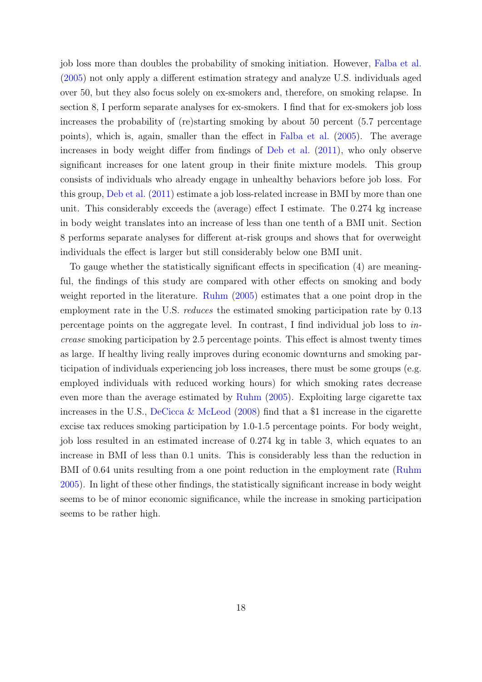job loss more than doubles the probability of smoking initiation. However, [Falba et al.](#page-31-4) [\(2005\)](#page-31-4) not only apply a different estimation strategy and analyze U.S. individuals aged over 50, but they also focus solely on ex-smokers and, therefore, on smoking relapse. In section [8,](#page-24-0) I perform separate analyses for ex-smokers. I find that for ex-smokers job loss increases the probability of (re)starting smoking by about 50 percent (5.7 percentage points), which is, again, smaller than the effect in [Falba et al.](#page-31-4) [\(2005\)](#page-31-4). The average increases in body weight differ from findings of [Deb et al.](#page-31-5) [\(2011\)](#page-31-5), who only observe significant increases for one latent group in their finite mixture models. This group consists of individuals who already engage in unhealthy behaviors before job loss. For this group, [Deb et al.](#page-31-5) [\(2011\)](#page-31-5) estimate a job loss-related increase in BMI by more than one unit. This considerably exceeds the (average) effect I estimate. The 0.274 kg increase in body weight translates into an increase of less than one tenth of a BMI unit. Section [8](#page-24-0) performs separate analyses for different at-risk groups and shows that for overweight individuals the effect is larger but still considerably below one BMI unit.

To gauge whether the statistically significant effects in specification (4) are meaningful, the findings of this study are compared with other effects on smoking and body weight reported in the literature. [Ruhm](#page-32-1) [\(2005\)](#page-32-1) estimates that a one point drop in the employment rate in the U.S. *reduces* the estimated smoking participation rate by 0.13 percentage points on the aggregate level. In contrast, I find individual job loss to increase smoking participation by 2.5 percentage points. This effect is almost twenty times as large. If healthy living really improves during economic downturns and smoking participation of individuals experiencing job loss increases, there must be some groups (e.g. employed individuals with reduced working hours) for which smoking rates decrease even more than the average estimated by [Ruhm](#page-32-1) [\(2005\)](#page-32-1). Exploiting large cigarette tax increases in the U.S., [DeCicca & McLeod](#page-31-12) [\(2008\)](#page-31-12) find that a \$1 increase in the cigarette excise tax reduces smoking participation by 1.0-1.5 percentage points. For body weight, job loss resulted in an estimated increase of 0.274 kg in table [3,](#page-17-0) which equates to an increase in BMI of less than 0.1 units. This is considerably less than the reduction in BMI of 0.64 units resulting from a one point reduction in the employment rate [\(Ruhm](#page-32-1) [2005\)](#page-32-1). In light of these other findings, the statistically significant increase in body weight seems to be of minor economic significance, while the increase in smoking participation seems to be rather high.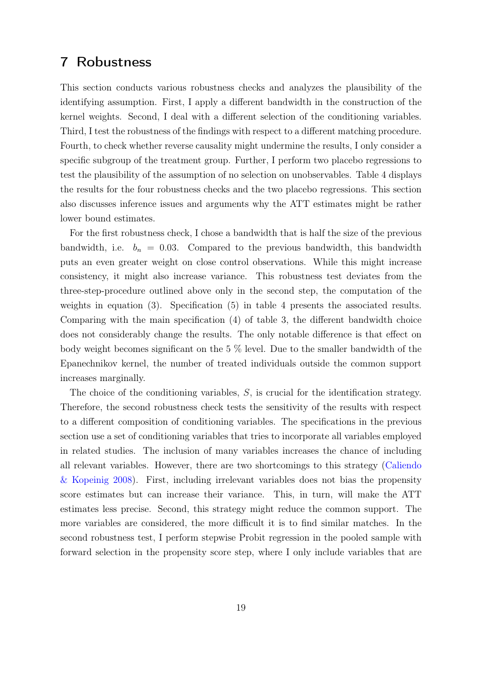## <span id="page-19-0"></span>7 Robustness

This section conducts various robustness checks and analyzes the plausibility of the identifying assumption. First, I apply a different bandwidth in the construction of the kernel weights. Second, I deal with a different selection of the conditioning variables. Third, I test the robustness of the findings with respect to a different matching procedure. Fourth, to check whether reverse causality might undermine the results, I only consider a specific subgroup of the treatment group. Further, I perform two placebo regressions to test the plausibility of the assumption of no selection on unobservables. Table [4](#page-20-0) displays the results for the four robustness checks and the two placebo regressions. This section also discusses inference issues and arguments why the ATT estimates might be rather lower bound estimates.

For the first robustness check, I chose a bandwidth that is half the size of the previous bandwidth, i.e.  $b_n = 0.03$ . Compared to the previous bandwidth, this bandwidth puts an even greater weight on close control observations. While this might increase consistency, it might also increase variance. This robustness test deviates from the three-step-procedure outlined above only in the second step, the computation of the weights in equation [\(3\)](#page-5-1). Specification (5) in table [4](#page-20-0) presents the associated results. Comparing with the main specification (4) of table [3,](#page-17-0) the different bandwidth choice does not considerably change the results. The only notable difference is that effect on body weight becomes significant on the 5 % level. Due to the smaller bandwidth of the Epanechnikov kernel, the number of treated individuals outside the common support increases marginally.

The choice of the conditioning variables, S, is crucial for the identification strategy. Therefore, the second robustness check tests the sensitivity of the results with respect to a different composition of conditioning variables. The specifications in the previous section use a set of conditioning variables that tries to incorporate all variables employed in related studies. The inclusion of many variables increases the chance of including all relevant variables. However, there are two shortcomings to this strategy [\(Caliendo](#page-30-7) [& Kopeinig](#page-30-7) [2008\)](#page-30-7). First, including irrelevant variables does not bias the propensity score estimates but can increase their variance. This, in turn, will make the ATT estimates less precise. Second, this strategy might reduce the common support. The more variables are considered, the more difficult it is to find similar matches. In the second robustness test, I perform stepwise Probit regression in the pooled sample with forward selection in the propensity score step, where I only include variables that are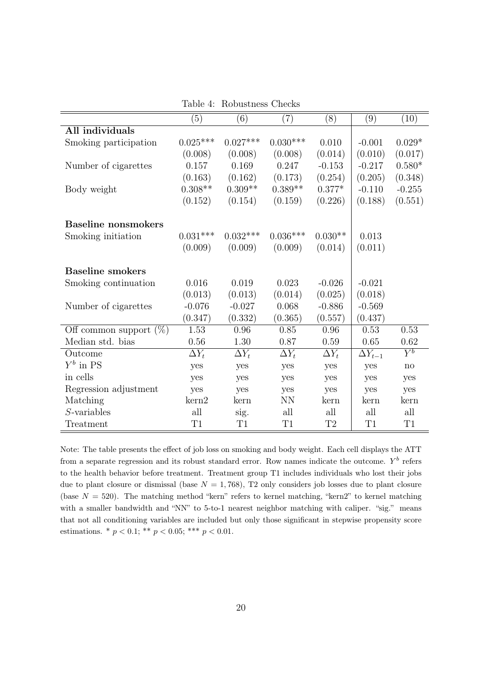<span id="page-20-0"></span>

|                            | (5)              | (6)          | $\left( 7\right)$ | (8)          | (9)              | (10)                   |
|----------------------------|------------------|--------------|-------------------|--------------|------------------|------------------------|
| All individuals            |                  |              |                   |              |                  |                        |
| Smoking participation      | $0.025***$       | $0.027***$   | $0.030***$        | 0.010        | $-0.001$         | $0.029*$               |
|                            | (0.008)          | (0.008)      | (0.008)           | (0.014)      | (0.010)          | (0.017)                |
| Number of cigarettes       | 0.157            | 0.169        | 0.247             | $-0.153$     | $-0.217$         | $0.580*$               |
|                            | (0.163)          | (0.162)      | (0.173)           | (0.254)      | (0.205)          | (0.348)                |
| Body weight                | $0.308**$        | $0.309**$    | $0.389**$         | $0.377*$     | $-0.110$         | $-0.255$               |
|                            | (0.152)          | (0.154)      | (0.159)           | (0.226)      | (0.188)          | (0.551)                |
| <b>Baseline nonsmokers</b> |                  |              |                   |              |                  |                        |
| Smoking initiation         | $0.031***$       | $0.032***$   | $0.036***$        | $0.030**$    | 0.013            |                        |
|                            | (0.009)          | (0.009)      | (0.009)           | (0.014)      | (0.011)          |                        |
| <b>Baseline smokers</b>    |                  |              |                   |              |                  |                        |
| Smoking continuation       | 0.016            | 0.019        | 0.023             | $-0.026$     | $-0.021$         |                        |
|                            | (0.013)          | (0.013)      | (0.014)           | (0.025)      | (0.018)          |                        |
| Number of cigarettes       | $-0.076$         | $-0.027$     | 0.068             | $-0.886$     | $-0.569$         |                        |
|                            | (0.347)          | (0.332)      | (0.365)           | (0.557)      | (0.437)          |                        |
| Off common support $(\%)$  | 1.53             | 0.96         | 0.85              | 0.96         | 0.53             | 0.53                   |
| Median std. bias           | 0.56             | 1.30         | 0.87              | 0.59         | 0.65             | $0.62\,$               |
| Outcome                    | $\Delta Y_t$     | $\Delta Y_t$ | $\Delta Y_t$      | $\Delta Y_t$ | $\Delta Y_{t-1}$ | $\overline{Y^b}$       |
| $Y^b$ in PS                | yes              | yes          | yes               | yes          | yes              | $\mathbf{n}\mathbf{o}$ |
| in cells                   | yes              | yes          | yes               | yes          | yes              | yes                    |
| Regression adjustment      | yes              | yes          | yes               | yes          | yes              | yes                    |
| Matching                   | $\mathrm{ker}n2$ | kern         | <b>NN</b>         | kern         | kern             | kern                   |
| $S$ -variables             | all              | sig.         | all               | all          | all              | all                    |
| Treatment                  | T1               | T1           | T1                | $\rm{T}2$    | T1               | T1                     |

Table 4: Robustness Checks

Note: The table presents the effect of job loss on smoking and body weight. Each cell displays the ATT from a separate regression and its robust standard error. Row names indicate the outcome.  $Y^b$  refers to the health behavior before treatment. Treatment group T1 includes individuals who lost their jobs due to plant closure or dismissal (base  $N = 1,768$ ), T2 only considers job losses due to plant closure (base  $N = 520$ ). The matching method "kern" refers to kernel matching, "kern2" to kernel matching with a smaller bandwidth and "NN" to 5-to-1 nearest neighbor matching with caliper. "sig." means that not all conditioning variables are included but only those significant in stepwise propensity score estimations. \* $p < 0.1;$ \*\* $p < 0.05;$ \*\*\* $p < 0.01.$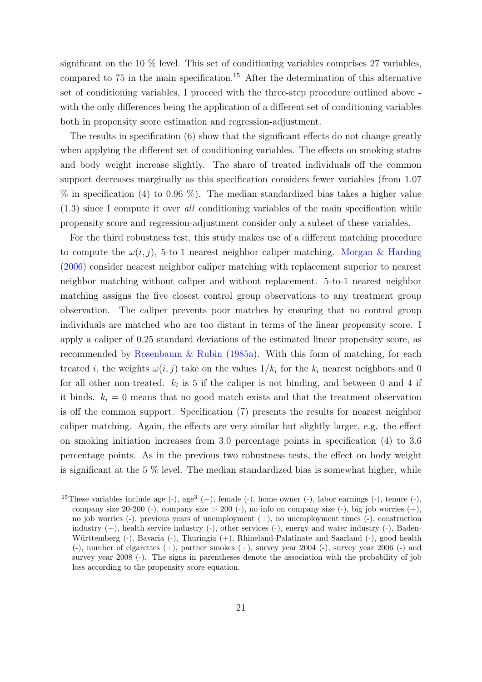significant on the 10 % level. This set of conditioning variables comprises 27 variables, compared to  $75$  in the main specification.<sup>[15](#page-21-0)</sup> After the determination of this alternative set of conditioning variables, I proceed with the three-step procedure outlined above with the only differences being the application of a different set of conditioning variables both in propensity score estimation and regression-adjustment.

The results in specification (6) show that the significant effects do not change greatly when applying the different set of conditioning variables. The effects on smoking status and body weight increase slightly. The share of treated individuals off the common support decreases marginally as this specification considers fewer variables (from 1.07  $\%$  in specification (4) to 0.96  $\%$ ). The median standardized bias takes a higher value (1.3) since I compute it over all conditioning variables of the main specification while propensity score and regression-adjustment consider only a subset of these variables.

For the third robustness test, this study makes use of a different matching procedure to compute the  $\omega(i, j)$ , 5-to-1 nearest neighbor caliper matching. [Morgan & Harding](#page-32-8) [\(2006\)](#page-32-8) consider nearest neighbor caliper matching with replacement superior to nearest neighbor matching without caliper and without replacement. 5-to-1 nearest neighbor matching assigns the five closest control group observations to any treatment group observation. The caliper prevents poor matches by ensuring that no control group individuals are matched who are too distant in terms of the linear propensity score. I apply a caliper of 0.25 standard deviations of the estimated linear propensity score, as recommended by [Rosenbaum & Rubin](#page-32-7) [\(1985a\)](#page-32-7). With this form of matching, for each treated *i*, the weights  $\omega(i, j)$  take on the values  $1/k_i$  for the  $k_i$  nearest neighbors and 0 for all other non-treated.  $k_i$  is 5 if the caliper is not binding, and between 0 and 4 if it binds.  $k_i = 0$  means that no good match exists and that the treatment observation is off the common support. Specification (7) presents the results for nearest neighbor caliper matching. Again, the effects are very similar but slightly larger, e.g. the effect on smoking initiation increases from 3.0 percentage points in specification (4) to 3.6 percentage points. As in the previous two robustness tests, the effect on body weight is significant at the 5 % level. The median standardized bias is somewhat higher, while

<span id="page-21-0"></span><sup>&</sup>lt;sup>15</sup>These variables include age  $(-)$ , age<sup>3</sup>  $(+)$ , female  $(-)$ , home owner  $(-)$ , labor earnings  $(-)$ , tenure  $(-)$ , company size  $20-200$  (-), company size  $> 200$  (-), no info on company size (-), big job worries (+), no job worries (-), previous years of unemployment (+), no unemployment times (-), construction industry  $(+)$ , health service industry  $(-)$ , other services  $(-)$ , energy and water industry  $(-)$ , Baden-Württemberg (-), Bavaria (-), Thuringia (+), Rhineland-Palatinate and Saarland (-), good health  $(-)$ , number of cigarettes  $(+)$ , partner smokes  $(+)$ , survey year 2004  $(-)$ , survey year 2006  $(-)$  and survey year 2008 (-). The signs in parentheses denote the association with the probability of job loss according to the propensity score equation.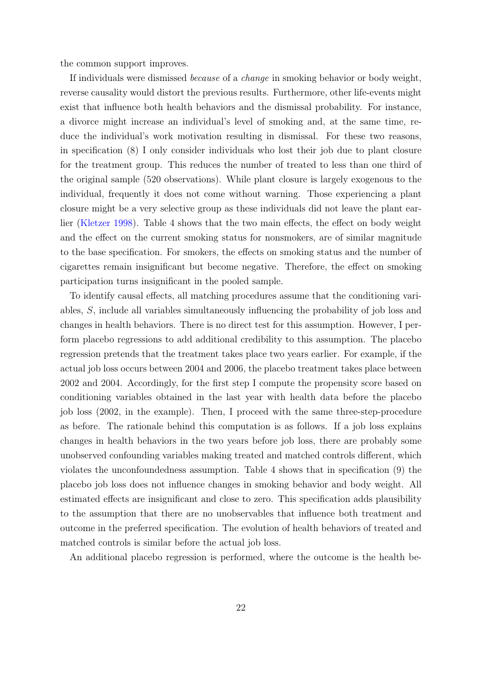the common support improves.

If individuals were dismissed because of a change in smoking behavior or body weight, reverse causality would distort the previous results. Furthermore, other life-events might exist that influence both health behaviors and the dismissal probability. For instance, a divorce might increase an individual's level of smoking and, at the same time, reduce the individual's work motivation resulting in dismissal. For these two reasons, in specification (8) I only consider individuals who lost their job due to plant closure for the treatment group. This reduces the number of treated to less than one third of the original sample (520 observations). While plant closure is largely exogenous to the individual, frequently it does not come without warning. Those experiencing a plant closure might be a very selective group as these individuals did not leave the plant earlier [\(Kletzer](#page-32-13) [1998\)](#page-32-13). Table [4](#page-20-0) shows that the two main effects, the effect on body weight and the effect on the current smoking status for nonsmokers, are of similar magnitude to the base specification. For smokers, the effects on smoking status and the number of cigarettes remain insignificant but become negative. Therefore, the effect on smoking participation turns insignificant in the pooled sample.

To identify causal effects, all matching procedures assume that the conditioning variables, S, include all variables simultaneously influencing the probability of job loss and changes in health behaviors. There is no direct test for this assumption. However, I perform placebo regressions to add additional credibility to this assumption. The placebo regression pretends that the treatment takes place two years earlier. For example, if the actual job loss occurs between 2004 and 2006, the placebo treatment takes place between 2002 and 2004. Accordingly, for the first step I compute the propensity score based on conditioning variables obtained in the last year with health data before the placebo job loss (2002, in the example). Then, I proceed with the same three-step-procedure as before. The rationale behind this computation is as follows. If a job loss explains changes in health behaviors in the two years before job loss, there are probably some unobserved confounding variables making treated and matched controls different, which violates the unconfoundedness assumption. Table [4](#page-20-0) shows that in specification (9) the placebo job loss does not influence changes in smoking behavior and body weight. All estimated effects are insignificant and close to zero. This specification adds plausibility to the assumption that there are no unobservables that influence both treatment and outcome in the preferred specification. The evolution of health behaviors of treated and matched controls is similar before the actual job loss.

An additional placebo regression is performed, where the outcome is the health be-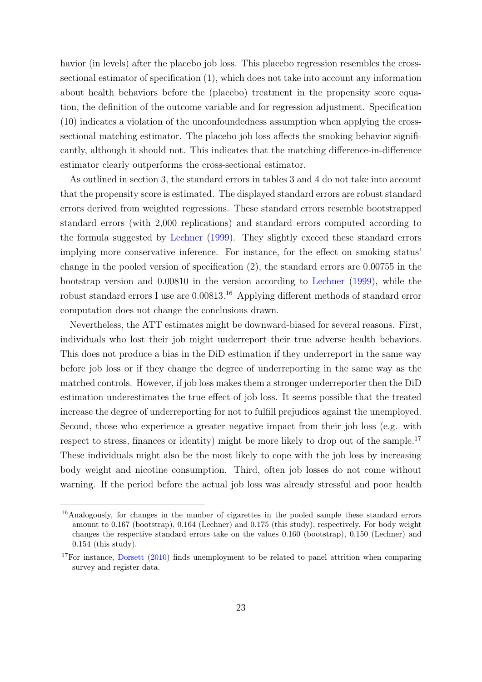havior (in levels) after the placebo job loss. This placebo regression resembles the crosssectional estimator of specification (1), which does not take into account any information about health behaviors before the (placebo) treatment in the propensity score equation, the definition of the outcome variable and for regression adjustment. Specification (10) indicates a violation of the unconfoundedness assumption when applying the crosssectional matching estimator. The placebo job loss affects the smoking behavior significantly, although it should not. This indicates that the matching difference-in-difference estimator clearly outperforms the cross-sectional estimator.

As outlined in section [3,](#page-5-0) the standard errors in tables [3](#page-17-0) and [4](#page-20-0) do not take into account that the propensity score is estimated. The displayed standard errors are robust standard errors derived from weighted regressions. These standard errors resemble bootstrapped standard errors (with 2,000 replications) and standard errors computed according to the formula suggested by [Lechner](#page-32-10) [\(1999\)](#page-32-10). They slightly exceed these standard errors implying more conservative inference. For instance, for the effect on smoking status' change in the pooled version of specification (2), the standard errors are 0.00755 in the bootstrap version and 0.00810 in the version according to [Lechner](#page-32-10) [\(1999\)](#page-32-10), while the robust standard errors I use are 0.00813.[16](#page-23-0) Applying different methods of standard error computation does not change the conclusions drawn.

Nevertheless, the ATT estimates might be downward-biased for several reasons. First, individuals who lost their job might underreport their true adverse health behaviors. This does not produce a bias in the DiD estimation if they underreport in the same way before job loss or if they change the degree of underreporting in the same way as the matched controls. However, if job loss makes them a stronger underreporter then the DiD estimation underestimates the true effect of job loss. It seems possible that the treated increase the degree of underreporting for not to fulfill prejudices against the unemployed. Second, those who experience a greater negative impact from their job loss (e.g. with respect to stress, finances or identity) might be more likely to drop out of the sample.<sup>[17](#page-23-1)</sup> These individuals might also be the most likely to cope with the job loss by increasing body weight and nicotine consumption. Third, often job losses do not come without warning. If the period before the actual job loss was already stressful and poor health

<span id="page-23-0"></span><sup>16</sup>Analogously, for changes in the number of cigarettes in the pooled sample these standard errors amount to 0.167 (bootstrap), 0.164 (Lechner) and 0.175 (this study), respectively. For body weight changes the respective standard errors take on the values 0.160 (bootstrap), 0.150 (Lechner) and 0.154 (this study).

<span id="page-23-1"></span><sup>&</sup>lt;sup>17</sup>For instance, [Dorsett](#page-31-13) [\(2010\)](#page-31-13) finds unemployment to be related to panel attrition when comparing survey and register data.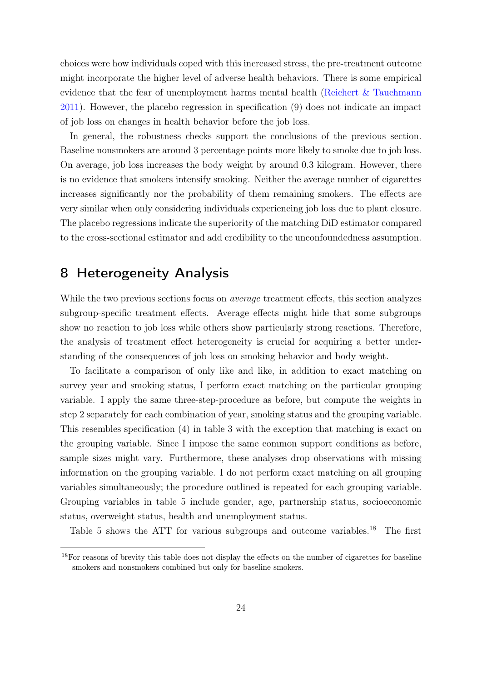choices were how individuals coped with this increased stress, the pre-treatment outcome might incorporate the higher level of adverse health behaviors. There is some empirical evidence that the fear of unemployment harms mental health [\(Reichert & Tauchmann](#page-32-14) [2011\)](#page-32-14). However, the placebo regression in specification (9) does not indicate an impact of job loss on changes in health behavior before the job loss.

In general, the robustness checks support the conclusions of the previous section. Baseline nonsmokers are around 3 percentage points more likely to smoke due to job loss. On average, job loss increases the body weight by around 0.3 kilogram. However, there is no evidence that smokers intensify smoking. Neither the average number of cigarettes increases significantly nor the probability of them remaining smokers. The effects are very similar when only considering individuals experiencing job loss due to plant closure. The placebo regressions indicate the superiority of the matching DiD estimator compared to the cross-sectional estimator and add credibility to the unconfoundedness assumption.

# <span id="page-24-0"></span>8 Heterogeneity Analysis

While the two previous sections focus on *average* treatment effects, this section analyzes subgroup-specific treatment effects. Average effects might hide that some subgroups show no reaction to job loss while others show particularly strong reactions. Therefore, the analysis of treatment effect heterogeneity is crucial for acquiring a better understanding of the consequences of job loss on smoking behavior and body weight.

To facilitate a comparison of only like and like, in addition to exact matching on survey year and smoking status, I perform exact matching on the particular grouping variable. I apply the same three-step-procedure as before, but compute the weights in step 2 separately for each combination of year, smoking status and the grouping variable. This resembles specification (4) in table [3](#page-17-0) with the exception that matching is exact on the grouping variable. Since I impose the same common support conditions as before, sample sizes might vary. Furthermore, these analyses drop observations with missing information on the grouping variable. I do not perform exact matching on all grouping variables simultaneously; the procedure outlined is repeated for each grouping variable. Grouping variables in table [5](#page-25-0) include gender, age, partnership status, socioeconomic status, overweight status, health and unemployment status.

Table [5](#page-25-0) shows the ATT for various subgroups and outcome variables.<sup>[18](#page-24-1)</sup> The first

<span id="page-24-1"></span><sup>&</sup>lt;sup>18</sup>For reasons of brevity this table does not display the effects on the number of cigarettes for baseline smokers and nonsmokers combined but only for baseline smokers.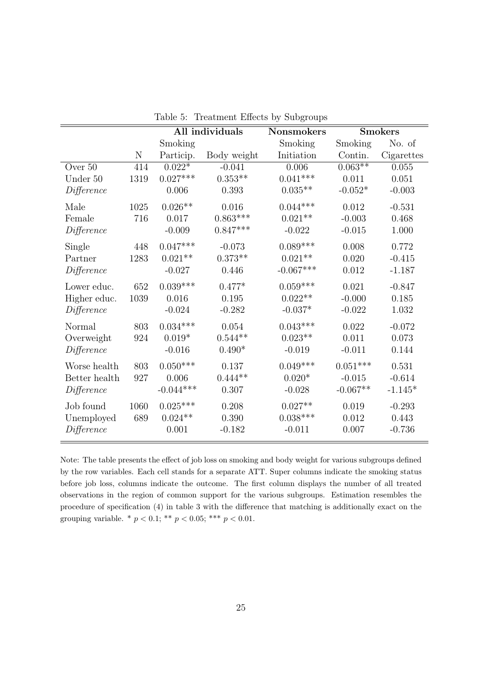<span id="page-25-0"></span>

|               |      | All individuals |             | <b>Nonsmokers</b> | <b>Smokers</b> |            |
|---------------|------|-----------------|-------------|-------------------|----------------|------------|
|               |      | Smoking         |             | Smoking           | Smoking        | No. of     |
|               | N    | Particip.       | Body weight | Initiation        | Contin.        | Cigarettes |
| Over 50       | 414  | $0.022*$        | $-0.041$    | 0.006             | $0.063**$      | 0.055      |
| Under 50      | 1319 | $0.027***$      | $0.353**$   | $0.041***$        | 0.011          | 0.051      |
| Difference    |      | 0.006           | 0.393       | $0.035**$         | $-0.052*$      | $-0.003$   |
| Male          | 1025 | $0.026**$       | 0.016       | $0.044***$        | 0.012          | $-0.531$   |
| Female        | 716  | 0.017           | $0.863***$  | $0.021**$         | $-0.003$       | 0.468      |
| Difference    |      | $-0.009$        | $0.847***$  | $-0.022$          | $-0.015$       | 1.000      |
| Single        | 448  | $0.047***$      | $-0.073$    | $0.089***$        | 0.008          | 0.772      |
| Partner       | 1283 | $0.021**$       | $0.373**$   | $0.021**$         | 0.020          | $-0.415$   |
| Difference    |      | $-0.027$        | 0.446       | $-0.067***$       | 0.012          | $-1.187$   |
| Lower educ.   | 652  | $0.039***$      | $0.477*$    | $0.059***$        | 0.021          | $-0.847$   |
| Higher educ.  | 1039 | 0.016           | 0.195       | $0.022**$         | $-0.000$       | 0.185      |
| Difference    |      | $-0.024$        | $-0.282$    | $-0.037*$         | $-0.022$       | 1.032      |
| Normal        | 803  | $0.034***$      | $0.054\,$   | $0.043***$        | 0.022          | $-0.072$   |
| Overweight    | 924  | $0.019*$        | $0.544**$   | $0.023**$         | 0.011          | 0.073      |
| Difference    |      | $-0.016$        | $0.490*$    | $-0.019$          | $-0.011$       | 0.144      |
| Worse health  | 803  | $0.050***$      | 0.137       | $0.049***$        | $0.051***$     | 0.531      |
| Better health | 927  | 0.006           | $0.444**$   | $0.020*$          | $-0.015$       | $-0.614$   |
| Difference    |      | $-0.044***$     | 0.307       | $-0.028$          | $-0.067**$     | $-1.145*$  |
| Job found     | 1060 | $0.025^{***}\,$ | 0.208       | $0.027**$         | 0.019          | $-0.293$   |
| Unemployed    | 689  | $0.024**$       | 0.390       | $0.038***$        | 0.012          | 0.443      |
| Difference    |      | 0.001           | $-0.182$    | $-0.011$          | 0.007          | $-0.736$   |

Table 5: Treatment Effects by Subgroups

Note: The table presents the effect of job loss on smoking and body weight for various subgroups defined by the row variables. Each cell stands for a separate ATT. Super columns indicate the smoking status before job loss, columns indicate the outcome. The first column displays the number of all treated observations in the region of common support for the various subgroups. Estimation resembles the procedure of specification (4) in table [3](#page-17-0) with the difference that matching is additionally exact on the grouping variable. \*  $p < 0.1$ ; \*\*  $p < 0.05$ ; \*\*\*  $p < 0.01$ .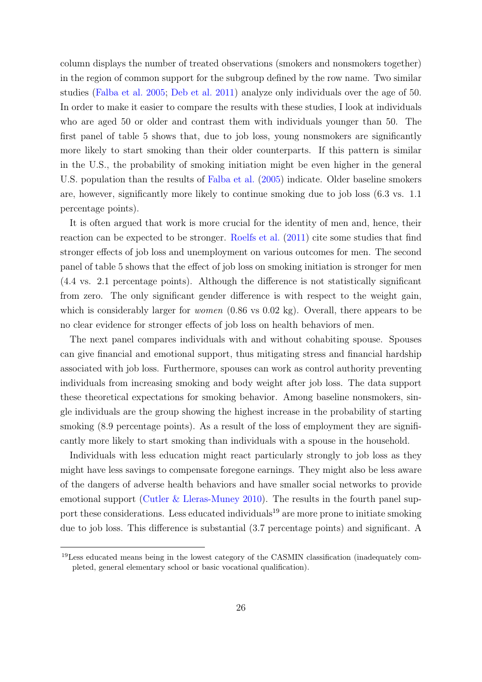column displays the number of treated observations (smokers and nonsmokers together) in the region of common support for the subgroup defined by the row name. Two similar studies [\(Falba et al.](#page-31-4) [2005;](#page-31-4) [Deb et al.](#page-31-5) [2011\)](#page-31-5) analyze only individuals over the age of 50. In order to make it easier to compare the results with these studies, I look at individuals who are aged 50 or older and contrast them with individuals younger than 50. The first panel of table [5](#page-25-0) shows that, due to job loss, young nonsmokers are significantly more likely to start smoking than their older counterparts. If this pattern is similar in the U.S., the probability of smoking initiation might be even higher in the general U.S. population than the results of [Falba et al.](#page-31-4) [\(2005\)](#page-31-4) indicate. Older baseline smokers are, however, significantly more likely to continue smoking due to job loss (6.3 vs. 1.1 percentage points).

It is often argued that work is more crucial for the identity of men and, hence, their reaction can be expected to be stronger. [Roelfs et al.](#page-32-2) [\(2011\)](#page-32-2) cite some studies that find stronger effects of job loss and unemployment on various outcomes for men. The second panel of table [5](#page-25-0) shows that the effect of job loss on smoking initiation is stronger for men (4.4 vs. 2.1 percentage points). Although the difference is not statistically significant from zero. The only significant gender difference is with respect to the weight gain, which is considerably larger for *women*  $(0.86 \text{ vs } 0.02 \text{ kg})$ . Overall, there appears to be no clear evidence for stronger effects of job loss on health behaviors of men.

The next panel compares individuals with and without cohabiting spouse. Spouses can give financial and emotional support, thus mitigating stress and financial hardship associated with job loss. Furthermore, spouses can work as control authority preventing individuals from increasing smoking and body weight after job loss. The data support these theoretical expectations for smoking behavior. Among baseline nonsmokers, single individuals are the group showing the highest increase in the probability of starting smoking (8.9 percentage points). As a result of the loss of employment they are significantly more likely to start smoking than individuals with a spouse in the household.

Individuals with less education might react particularly strongly to job loss as they might have less savings to compensate foregone earnings. They might also be less aware of the dangers of adverse health behaviors and have smaller social networks to provide emotional support [\(Cutler & Lleras-Muney](#page-30-13) [2010\)](#page-30-13). The results in the fourth panel sup-port these considerations. Less educated individuals<sup>[19](#page-26-0)</sup> are more prone to initiate smoking due to job loss. This difference is substantial (3.7 percentage points) and significant. A

<span id="page-26-0"></span><sup>19</sup>Less educated means being in the lowest category of the CASMIN classification (inadequately completed, general elementary school or basic vocational qualification).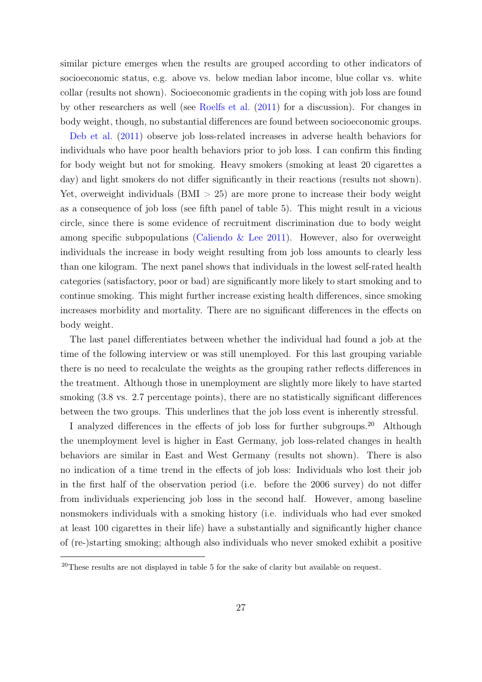similar picture emerges when the results are grouped according to other indicators of socioeconomic status, e.g. above vs. below median labor income, blue collar vs. white collar (results not shown). Socioeconomic gradients in the coping with job loss are found by other researchers as well (see [Roelfs et al.](#page-32-2) [\(2011\)](#page-32-2) for a discussion). For changes in body weight, though, no substantial differences are found between socioeconomic groups.

[Deb et al.](#page-31-5) [\(2011\)](#page-31-5) observe job loss-related increases in adverse health behaviors for individuals who have poor health behaviors prior to job loss. I can confirm this finding for body weight but not for smoking. Heavy smokers (smoking at least 20 cigarettes a day) and light smokers do not differ significantly in their reactions (results not shown). Yet, overweight individuals  $(BMI > 25)$  are more prone to increase their body weight as a consequence of job loss (see fifth panel of table [5\)](#page-25-0). This might result in a vicious circle, since there is some evidence of recruitment discrimination due to body weight among specific subpopulations (Caliendo  $&$  Lee [2011\)](#page-30-14). However, also for overweight individuals the increase in body weight resulting from job loss amounts to clearly less than one kilogram. The next panel shows that individuals in the lowest self-rated health categories (satisfactory, poor or bad) are significantly more likely to start smoking and to continue smoking. This might further increase existing health differences, since smoking increases morbidity and mortality. There are no significant differences in the effects on body weight.

The last panel differentiates between whether the individual had found a job at the time of the following interview or was still unemployed. For this last grouping variable there is no need to recalculate the weights as the grouping rather reflects differences in the treatment. Although those in unemployment are slightly more likely to have started smoking (3.8 vs. 2.7 percentage points), there are no statistically significant differences between the two groups. This underlines that the job loss event is inherently stressful.

I analyzed differences in the effects of job loss for further subgroups.[20](#page-27-0) Although the unemployment level is higher in East Germany, job loss-related changes in health behaviors are similar in East and West Germany (results not shown). There is also no indication of a time trend in the effects of job loss: Individuals who lost their job in the first half of the observation period (i.e. before the 2006 survey) do not differ from individuals experiencing job loss in the second half. However, among baseline nonsmokers individuals with a smoking history (i.e. individuals who had ever smoked at least 100 cigarettes in their life) have a substantially and significantly higher chance of (re-)starting smoking; although also individuals who never smoked exhibit a positive

<span id="page-27-0"></span><sup>&</sup>lt;sup>20</sup>These results are not displayed in table [5](#page-25-0) for the sake of clarity but available on request.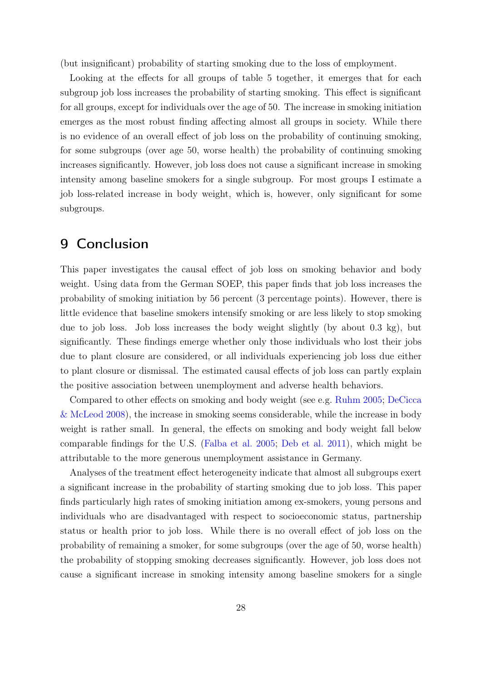(but insignificant) probability of starting smoking due to the loss of employment.

Looking at the effects for all groups of table [5](#page-25-0) together, it emerges that for each subgroup job loss increases the probability of starting smoking. This effect is significant for all groups, except for individuals over the age of 50. The increase in smoking initiation emerges as the most robust finding affecting almost all groups in society. While there is no evidence of an overall effect of job loss on the probability of continuing smoking, for some subgroups (over age 50, worse health) the probability of continuing smoking increases significantly. However, job loss does not cause a significant increase in smoking intensity among baseline smokers for a single subgroup. For most groups I estimate a job loss-related increase in body weight, which is, however, only significant for some subgroups.

## <span id="page-28-0"></span>9 Conclusion

This paper investigates the causal effect of job loss on smoking behavior and body weight. Using data from the German SOEP, this paper finds that job loss increases the probability of smoking initiation by 56 percent (3 percentage points). However, there is little evidence that baseline smokers intensify smoking or are less likely to stop smoking due to job loss. Job loss increases the body weight slightly (by about 0.3 kg), but significantly. These findings emerge whether only those individuals who lost their jobs due to plant closure are considered, or all individuals experiencing job loss due either to plant closure or dismissal. The estimated causal effects of job loss can partly explain the positive association between unemployment and adverse health behaviors.

Compared to other effects on smoking and body weight (see e.g. [Ruhm](#page-32-1) [2005;](#page-32-1) [DeCicca](#page-31-12) [& McLeod](#page-31-12) [2008\)](#page-31-12), the increase in smoking seems considerable, while the increase in body weight is rather small. In general, the effects on smoking and body weight fall below comparable findings for the U.S. [\(Falba et al.](#page-31-4) [2005;](#page-31-4) [Deb et al.](#page-31-5) [2011\)](#page-31-5), which might be attributable to the more generous unemployment assistance in Germany.

Analyses of the treatment effect heterogeneity indicate that almost all subgroups exert a significant increase in the probability of starting smoking due to job loss. This paper finds particularly high rates of smoking initiation among ex-smokers, young persons and individuals who are disadvantaged with respect to socioeconomic status, partnership status or health prior to job loss. While there is no overall effect of job loss on the probability of remaining a smoker, for some subgroups (over the age of 50, worse health) the probability of stopping smoking decreases significantly. However, job loss does not cause a significant increase in smoking intensity among baseline smokers for a single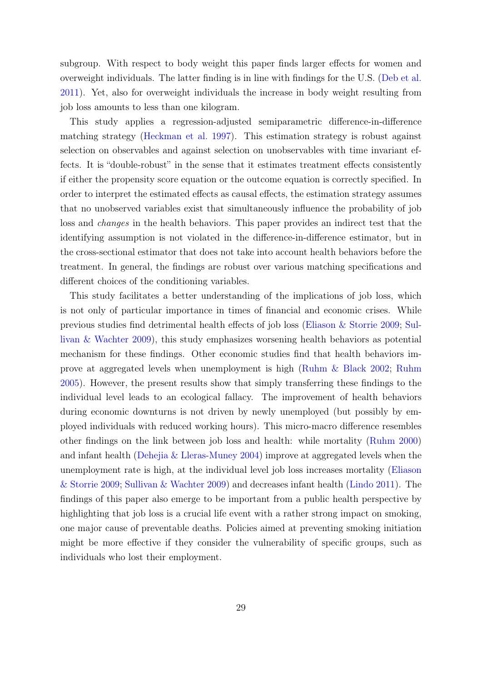subgroup. With respect to body weight this paper finds larger effects for women and overweight individuals. The latter finding is in line with findings for the U.S. [\(Deb et al.](#page-31-5) [2011\)](#page-31-5). Yet, also for overweight individuals the increase in body weight resulting from job loss amounts to less than one kilogram.

This study applies a regression-adjusted semiparametric difference-in-difference matching strategy [\(Heckman et al.](#page-31-9) [1997\)](#page-31-9). This estimation strategy is robust against selection on observables and against selection on unobservables with time invariant effects. It is "double-robust" in the sense that it estimates treatment effects consistently if either the propensity score equation or the outcome equation is correctly specified. In order to interpret the estimated effects as causal effects, the estimation strategy assumes that no unobserved variables exist that simultaneously influence the probability of job loss and changes in the health behaviors. This paper provides an indirect test that the identifying assumption is not violated in the difference-in-difference estimator, but in the cross-sectional estimator that does not take into account health behaviors before the treatment. In general, the findings are robust over various matching specifications and different choices of the conditioning variables.

This study facilitates a better understanding of the implications of job loss, which is not only of particular importance in times of financial and economic crises. While previous studies find detrimental health effects of job loss [\(Eliason & Storrie](#page-31-2) [2009;](#page-31-2) [Sul](#page-33-1)[livan & Wachter](#page-33-1) [2009\)](#page-33-1), this study emphasizes worsening health behaviors as potential mechanism for these findings. Other economic studies find that health behaviors improve at aggregated levels when unemployment is high [\(Ruhm & Black](#page-33-2) [2002;](#page-33-2) [Ruhm](#page-32-1) [2005\)](#page-32-1). However, the present results show that simply transferring these findings to the individual level leads to an ecological fallacy. The improvement of health behaviors during economic downturns is not driven by newly unemployed (but possibly by employed individuals with reduced working hours). This micro-macro difference resembles other findings on the link between job loss and health: while mortality [\(Ruhm](#page-32-5) [2000\)](#page-32-5) and infant health [\(Dehejia & Lleras-Muney](#page-31-7) [2004\)](#page-31-7) improve at aggregated levels when the unemployment rate is high, at the individual level job loss increases mortality [\(Eliason](#page-31-2) [& Storrie](#page-31-2) [2009;](#page-31-2) [Sullivan & Wachter](#page-33-1) [2009\)](#page-33-1) and decreases infant health [\(Lindo](#page-32-0) [2011\)](#page-32-0). The findings of this paper also emerge to be important from a public health perspective by highlighting that job loss is a crucial life event with a rather strong impact on smoking, one major cause of preventable deaths. Policies aimed at preventing smoking initiation might be more effective if they consider the vulnerability of specific groups, such as individuals who lost their employment.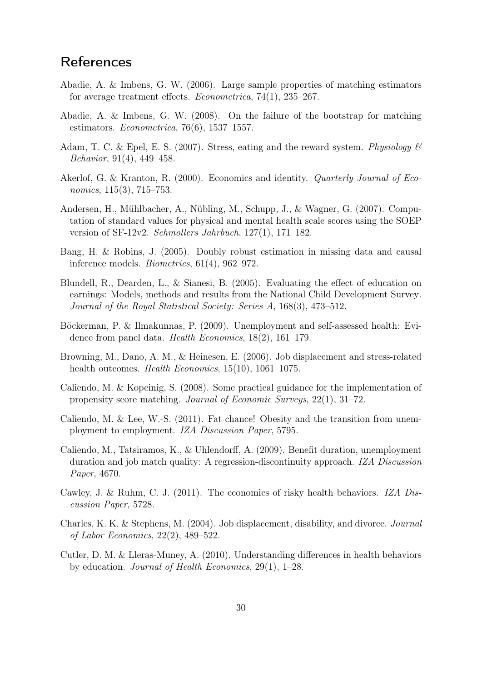# **References**

- <span id="page-30-9"></span>Abadie, A. & Imbens, G. W. (2006). Large sample properties of matching estimators for average treatment effects. Econometrica, 74(1), 235–267.
- <span id="page-30-10"></span>Abadie, A. & Imbens, G. W. (2008). On the failure of the bootstrap for matching estimators. Econometrica, 76(6), 1537–1557.
- <span id="page-30-3"></span>Adam, T. C. & Epel, E. S. (2007). Stress, eating and the reward system. Physiology  $\mathcal{B}$ Behavior, 91(4), 449–458.
- <span id="page-30-4"></span>Akerlof, G. & Kranton, R. (2000). Economics and identity. Quarterly Journal of Economics, 115(3), 715–753.
- <span id="page-30-11"></span>Andersen, H., Mühlbacher, A., Nübling, M., Schupp, J., & Wagner, G. (2007). Computation of standard values for physical and mental health scale scores using the SOEP version of SF-12v2. Schmollers Jahrbuch, 127(1), 171–182.
- <span id="page-30-8"></span>Bang, H. & Robins, J. (2005). Doubly robust estimation in missing data and causal inference models. Biometrics, 61(4), 962–972.
- <span id="page-30-12"></span>Blundell, R., Dearden, L., & Sianesi, B. (2005). Evaluating the effect of education on earnings: Models, methods and results from the National Child Development Survey. Journal of the Royal Statistical Society: Series A, 168(3), 473–512.
- <span id="page-30-2"></span>Böckerman, P. & Ilmakunnas, P. (2009). Unemployment and self-assessed health: Evidence from panel data. Health Economics, 18(2), 161–179.
- <span id="page-30-1"></span>Browning, M., Dano, A. M., & Heinesen, E. (2006). Job displacement and stress-related health outcomes. *Health Economics*, 15(10), 1061–1075.
- <span id="page-30-7"></span>Caliendo, M. & Kopeinig, S. (2008). Some practical guidance for the implementation of propensity score matching. Journal of Economic Surveys, 22(1), 31–72.
- <span id="page-30-14"></span>Caliendo, M. & Lee, W.-S. (2011). Fat chance! Obesity and the transition from unemployment to employment. IZA Discussion Paper, 5795.
- <span id="page-30-5"></span>Caliendo, M., Tatsiramos, K., & Uhlendorff, A. (2009). Benefit duration, unemployment duration and job match quality: A regression-discontinuity approach. IZA Discussion Paper, 4670.
- <span id="page-30-6"></span>Cawley, J. & Ruhm, C. J. (2011). The economics of risky health behaviors. IZA Discussion Paper, 5728.
- <span id="page-30-0"></span>Charles, K. K. & Stephens, M. (2004). Job displacement, disability, and divorce. Journal of Labor Economics, 22(2), 489–522.
- <span id="page-30-13"></span>Cutler, D. M. & Lleras-Muney, A. (2010). Understanding differences in health behaviors by education. Journal of Health Economics, 29(1), 1–28.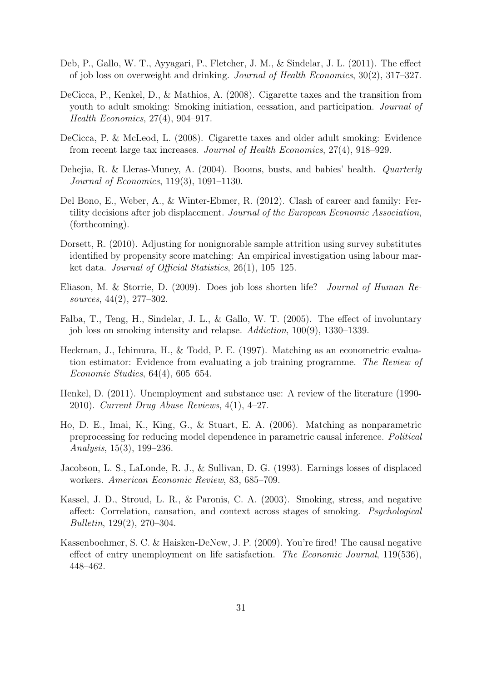- <span id="page-31-5"></span>Deb, P., Gallo, W. T., Ayyagari, P., Fletcher, J. M., & Sindelar, J. L. (2011). The effect of job loss on overweight and drinking. Journal of Health Economics, 30(2), 317–327.
- <span id="page-31-10"></span>DeCicca, P., Kenkel, D., & Mathios, A. (2008). Cigarette taxes and the transition from youth to adult smoking: Smoking initiation, cessation, and participation. Journal of Health Economics, 27(4), 904–917.
- <span id="page-31-12"></span>DeCicca, P. & McLeod, L. (2008). Cigarette taxes and older adult smoking: Evidence from recent large tax increases. Journal of Health Economics, 27(4), 918–929.
- <span id="page-31-7"></span>Dehejia, R. & Lleras-Muney, A. (2004). Booms, busts, and babies' health. Quarterly Journal of Economics, 119(3), 1091–1130.
- <span id="page-31-6"></span>Del Bono, E., Weber, A., & Winter-Ebmer, R. (2012). Clash of career and family: Fertility decisions after job displacement. Journal of the European Economic Association, (forthcoming).
- <span id="page-31-13"></span>Dorsett, R. (2010). Adjusting for nonignorable sample attrition using survey substitutes identified by propensity score matching: An empirical investigation using labour market data. Journal of Official Statistics, 26(1), 105–125.
- <span id="page-31-2"></span>Eliason, M. & Storrie, D. (2009). Does job loss shorten life? Journal of Human Resources, 44(2), 277–302.
- <span id="page-31-4"></span>Falba, T., Teng, H., Sindelar, J. L., & Gallo, W. T. (2005). The effect of involuntary job loss on smoking intensity and relapse. Addiction, 100(9), 1330–1339.
- <span id="page-31-9"></span>Heckman, J., Ichimura, H., & Todd, P. E. (1997). Matching as an econometric evaluation estimator: Evidence from evaluating a job training programme. The Review of Economic Studies, 64(4), 605–654.
- <span id="page-31-3"></span>Henkel, D. (2011). Unemployment and substance use: A review of the literature (1990- 2010). Current Drug Abuse Reviews, 4(1), 4–27.
- <span id="page-31-11"></span>Ho, D. E., Imai, K., King, G., & Stuart, E. A. (2006). Matching as nonparametric preprocessing for reducing model dependence in parametric causal inference. Political Analysis, 15(3), 199–236.
- <span id="page-31-0"></span>Jacobson, L. S., LaLonde, R. J., & Sullivan, D. G. (1993). Earnings losses of displaced workers. American Economic Review, 83, 685–709.
- <span id="page-31-8"></span>Kassel, J. D., Stroud, L. R., & Paronis, C. A. (2003). Smoking, stress, and negative affect: Correlation, causation, and context across stages of smoking. Psychological Bulletin, 129(2), 270–304.
- <span id="page-31-1"></span>Kassenboehmer, S. C. & Haisken-DeNew, J. P. (2009). You're fired! The causal negative effect of entry unemployment on life satisfaction. The Economic Journal, 119(536), 448–462.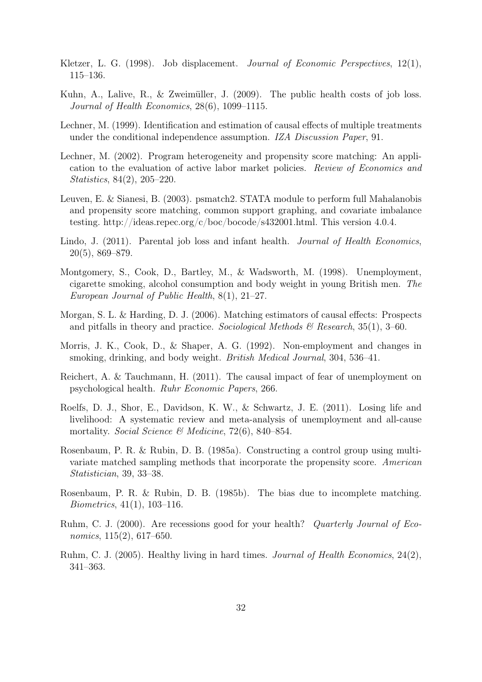- <span id="page-32-13"></span>Kletzer, L. G. (1998). Job displacement. *Journal of Economic Perspectives*, 12(1), 115–136.
- <span id="page-32-6"></span>Kuhn, A., Lalive, R., & Zweimüller, J. (2009). The public health costs of job loss. Journal of Health Economics, 28(6), 1099–1115.
- <span id="page-32-10"></span>Lechner, M. (1999). Identification and estimation of causal effects of multiple treatments under the conditional independence assumption. IZA Discussion Paper, 91.
- <span id="page-32-11"></span>Lechner, M. (2002). Program heterogeneity and propensity score matching: An application to the evaluation of active labor market policies. Review of Economics and Statistics, 84(2), 205–220.
- <span id="page-32-9"></span>Leuven, E. & Sianesi, B. (2003). psmatch2. STATA module to perform full Mahalanobis and propensity score matching, common support graphing, and covariate imbalance testing. http://ideas.repec.org/c/boc/bocode/s432001.html. This version 4.0.4.
- <span id="page-32-0"></span>Lindo, J. (2011). Parental job loss and infant health. *Journal of Health Economics*, 20(5), 869–879.
- <span id="page-32-4"></span>Montgomery, S., Cook, D., Bartley, M., & Wadsworth, M. (1998). Unemployment, cigarette smoking, alcohol consumption and body weight in young British men. The European Journal of Public Health, 8(1), 21–27.
- <span id="page-32-8"></span>Morgan, S. L. & Harding, D. J. (2006). Matching estimators of causal effects: Prospects and pitfalls in theory and practice. Sociological Methods  $\mathcal{C}$  Research, 35(1), 3–60.
- <span id="page-32-3"></span>Morris, J. K., Cook, D., & Shaper, A. G. (1992). Non-employment and changes in smoking, drinking, and body weight. British Medical Journal, 304, 536–41.
- <span id="page-32-14"></span>Reichert, A. & Tauchmann, H. (2011). The causal impact of fear of unemployment on psychological health. Ruhr Economic Papers, 266.
- <span id="page-32-2"></span>Roelfs, D. J., Shor, E., Davidson, K. W., & Schwartz, J. E. (2011). Losing life and livelihood: A systematic review and meta-analysis of unemployment and all-cause mortality. Social Science & Medicine, 72(6), 840–854.
- <span id="page-32-7"></span>Rosenbaum, P. R. & Rubin, D. B. (1985a). Constructing a control group using multivariate matched sampling methods that incorporate the propensity score. American Statistician, 39, 33–38.
- <span id="page-32-12"></span>Rosenbaum, P. R. & Rubin, D. B. (1985b). The bias due to incomplete matching. Biometrics, 41(1), 103–116.
- <span id="page-32-5"></span>Ruhm, C. J. (2000). Are recessions good for your health? Quarterly Journal of Economics, 115(2), 617–650.
- <span id="page-32-1"></span>Ruhm, C. J. (2005). Healthy living in hard times. Journal of Health Economics, 24(2), 341–363.